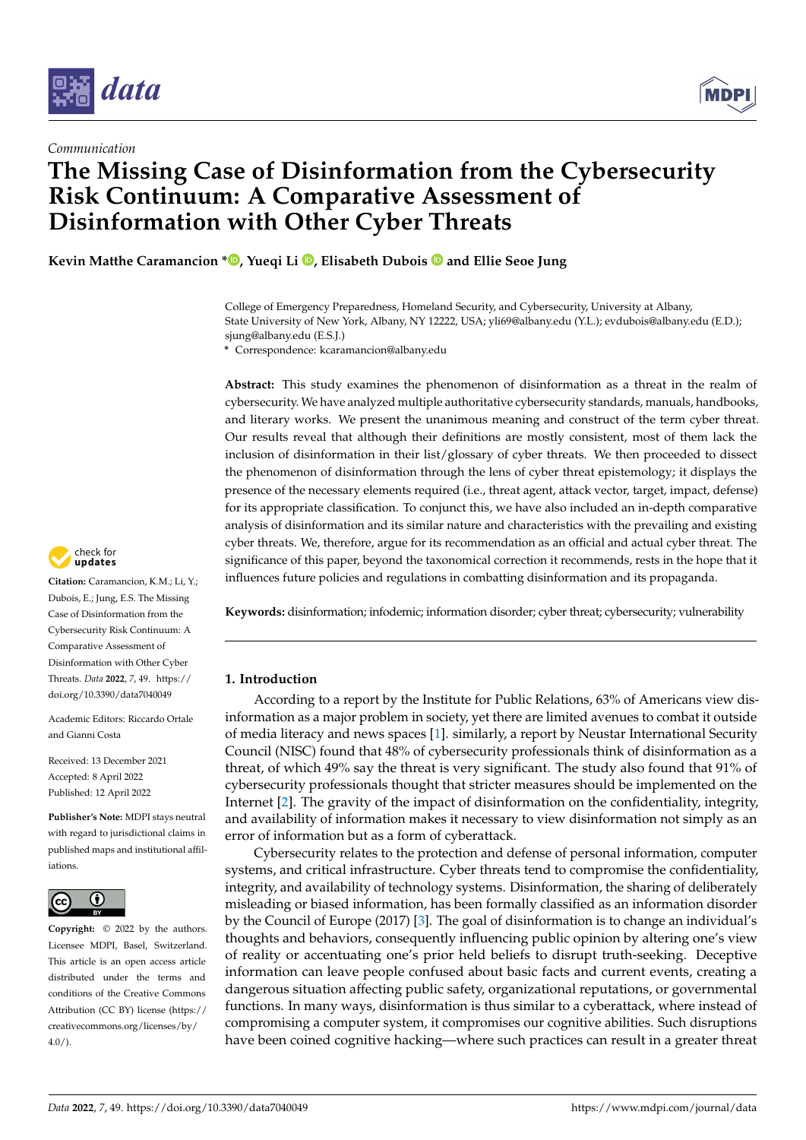

*Communication*

# **The Missing Case of Disinformation from the Cybersecurity Risk Continuum: A Comparative Assessment of Disinformation with Other Cyber Threats**

**Kevin Matthe Caramancion [\\*](https://orcid.org/0000-0003-1332-3426) , Yueqi Li [,](https://orcid.org/0000-0002-4861-2001) Elisabeth Dubois and Ellie Seoe Jung**

College of Emergency Preparedness, Homeland Security, and Cybersecurity, University at Albany, State University of New York, Albany, NY 12222, USA; yli69@albany.edu (Y.L.); evdubois@albany.edu (E.D.); sjung@albany.edu (E.S.J.)

**\*** Correspondence: kcaramancion@albany.edu

**Abstract:** This study examines the phenomenon of disinformation as a threat in the realm of cybersecurity. We have analyzed multiple authoritative cybersecurity standards, manuals, handbooks, and literary works. We present the unanimous meaning and construct of the term cyber threat. Our results reveal that although their definitions are mostly consistent, most of them lack the inclusion of disinformation in their list/glossary of cyber threats. We then proceeded to dissect the phenomenon of disinformation through the lens of cyber threat epistemology; it displays the presence of the necessary elements required (i.e., threat agent, attack vector, target, impact, defense) for its appropriate classification. To conjunct this, we have also included an in-depth comparative analysis of disinformation and its similar nature and characteristics with the prevailing and existing cyber threats. We, therefore, argue for its recommendation as an official and actual cyber threat. The significance of this paper, beyond the taxonomical correction it recommends, rests in the hope that it influences future policies and regulations in combatting disinformation and its propaganda.

**Keywords:** disinformation; infodemic; information disorder; cyber threat; cybersecurity; vulnerability

# **1. Introduction**

According to a report by the Institute for Public Relations, 63% of Americans view disinformation as a major problem in society, yet there are limited avenues to combat it outside of media literacy and news spaces [\[1\]](#page-15-0). similarly, a report by Neustar International Security Council (NISC) found that 48% of cybersecurity professionals think of disinformation as a threat, of which 49% say the threat is very significant. The study also found that 91% of cybersecurity professionals thought that stricter measures should be implemented on the Internet [\[2\]](#page-15-1). The gravity of the impact of disinformation on the confidentiality, integrity, and availability of information makes it necessary to view disinformation not simply as an error of information but as a form of cyberattack.

Cybersecurity relates to the protection and defense of personal information, computer systems, and critical infrastructure. Cyber threats tend to compromise the confidentiality, integrity, and availability of technology systems. Disinformation, the sharing of deliberately misleading or biased information, has been formally classified as an information disorder by the Council of Europe (2017) [\[3\]](#page-15-2). The goal of disinformation is to change an individual's thoughts and behaviors, consequently influencing public opinion by altering one's view of reality or accentuating one's prior held beliefs to disrupt truth-seeking. Deceptive information can leave people confused about basic facts and current events, creating a dangerous situation affecting public safety, organizational reputations, or governmental functions. In many ways, disinformation is thus similar to a cyberattack, where instead of compromising a computer system, it compromises our cognitive abilities. Such disruptions have been coined cognitive hacking—where such practices can result in a greater threat



**Citation:** Caramancion, K.M.; Li, Y.; Dubois, E.; Jung, E.S. The Missing Case of Disinformation from the Cybersecurity Risk Continuum: A Comparative Assessment of Disinformation with Other Cyber Threats. *Data* **2022**, *7*, 49. [https://](https://doi.org/10.3390/data7040049) [doi.org/10.3390/data7040049](https://doi.org/10.3390/data7040049)

Academic Editors: Riccardo Ortale and Gianni Costa

Received: 13 December 2021 Accepted: 8 April 2022 Published: 12 April 2022

**Publisher's Note:** MDPI stays neutral with regard to jurisdictional claims in published maps and institutional affiliations.



**Copyright:** © 2022 by the authors. Licensee MDPI, Basel, Switzerland. This article is an open access article distributed under the terms and conditions of the Creative Commons Attribution (CC BY) license [\(https://](https://creativecommons.org/licenses/by/4.0/) [creativecommons.org/licenses/by/](https://creativecommons.org/licenses/by/4.0/)  $4.0/$ ).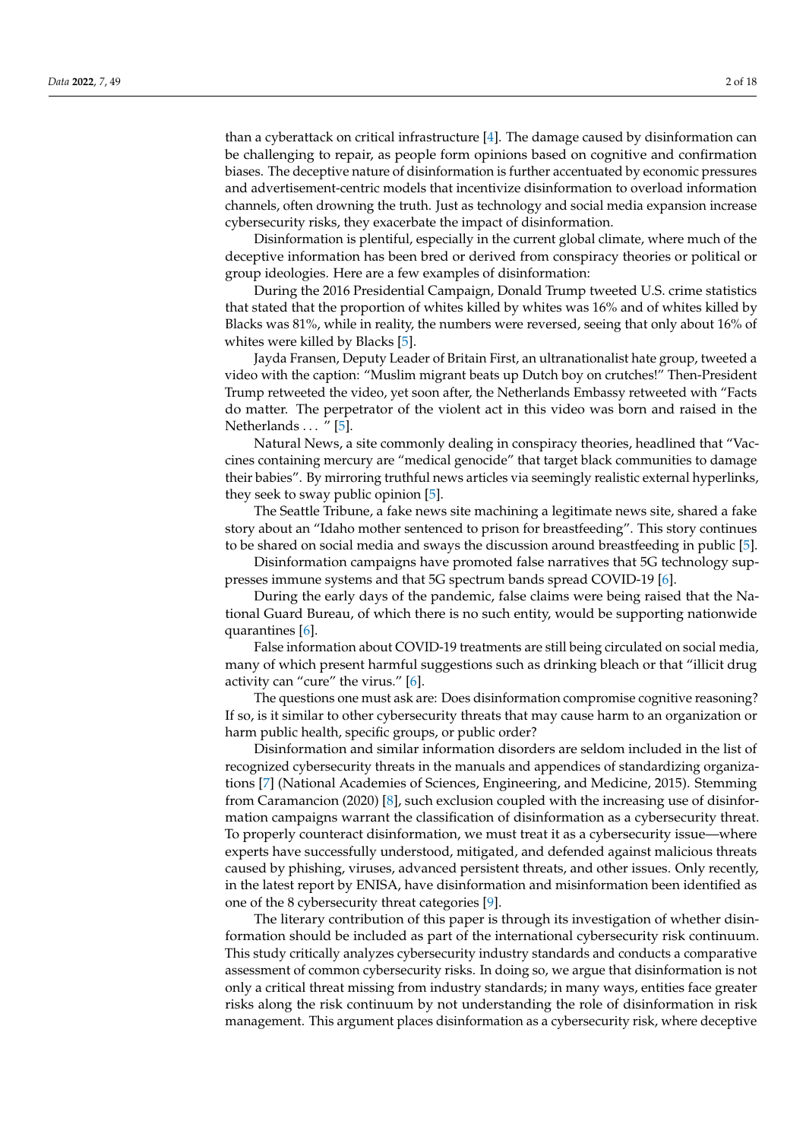than a cyberattack on critical infrastructure [\[4\]](#page-15-3). The damage caused by disinformation can be challenging to repair, as people form opinions based on cognitive and confirmation biases. The deceptive nature of disinformation is further accentuated by economic pressures and advertisement-centric models that incentivize disinformation to overload information channels, often drowning the truth. Just as technology and social media expansion increase cybersecurity risks, they exacerbate the impact of disinformation.

Disinformation is plentiful, especially in the current global climate, where much of the deceptive information has been bred or derived from conspiracy theories or political or group ideologies. Here are a few examples of disinformation:

During the 2016 Presidential Campaign, Donald Trump tweeted U.S. crime statistics that stated that the proportion of whites killed by whites was 16% and of whites killed by Blacks was 81%, while in reality, the numbers were reversed, seeing that only about 16% of whites were killed by Blacks [\[5\]](#page-15-4).

Jayda Fransen, Deputy Leader of Britain First, an ultranationalist hate group, tweeted a video with the caption: "Muslim migrant beats up Dutch boy on crutches!" Then-President Trump retweeted the video, yet soon after, the Netherlands Embassy retweeted with "Facts do matter. The perpetrator of the violent act in this video was born and raised in the Netherlands ... "[\[5\]](#page-15-4).

Natural News, a site commonly dealing in conspiracy theories, headlined that "Vaccines containing mercury are "medical genocide" that target black communities to damage their babies". By mirroring truthful news articles via seemingly realistic external hyperlinks, they seek to sway public opinion [\[5\]](#page-15-4).

The Seattle Tribune, a fake news site machining a legitimate news site, shared a fake story about an "Idaho mother sentenced to prison for breastfeeding". This story continues to be shared on social media and sways the discussion around breastfeeding in public [\[5\]](#page-15-4).

Disinformation campaigns have promoted false narratives that 5G technology suppresses immune systems and that 5G spectrum bands spread COVID-19 [\[6\]](#page-15-5).

During the early days of the pandemic, false claims were being raised that the National Guard Bureau, of which there is no such entity, would be supporting nationwide quarantines [\[6\]](#page-15-5).

False information about COVID-19 treatments are still being circulated on social media, many of which present harmful suggestions such as drinking bleach or that "illicit drug activity can "cure" the virus." [\[6\]](#page-15-5).

The questions one must ask are: Does disinformation compromise cognitive reasoning? If so, is it similar to other cybersecurity threats that may cause harm to an organization or harm public health, specific groups, or public order?

Disinformation and similar information disorders are seldom included in the list of recognized cybersecurity threats in the manuals and appendices of standardizing organizations [\[7\]](#page-15-6) (National Academies of Sciences, Engineering, and Medicine, 2015). Stemming from Caramancion (2020) [\[8\]](#page-15-7), such exclusion coupled with the increasing use of disinformation campaigns warrant the classification of disinformation as a cybersecurity threat. To properly counteract disinformation, we must treat it as a cybersecurity issue—where experts have successfully understood, mitigated, and defended against malicious threats caused by phishing, viruses, advanced persistent threats, and other issues. Only recently, in the latest report by ENISA, have disinformation and misinformation been identified as one of the 8 cybersecurity threat categories [\[9\]](#page-16-0).

The literary contribution of this paper is through its investigation of whether disinformation should be included as part of the international cybersecurity risk continuum. This study critically analyzes cybersecurity industry standards and conducts a comparative assessment of common cybersecurity risks. In doing so, we argue that disinformation is not only a critical threat missing from industry standards; in many ways, entities face greater risks along the risk continuum by not understanding the role of disinformation in risk management. This argument places disinformation as a cybersecurity risk, where deceptive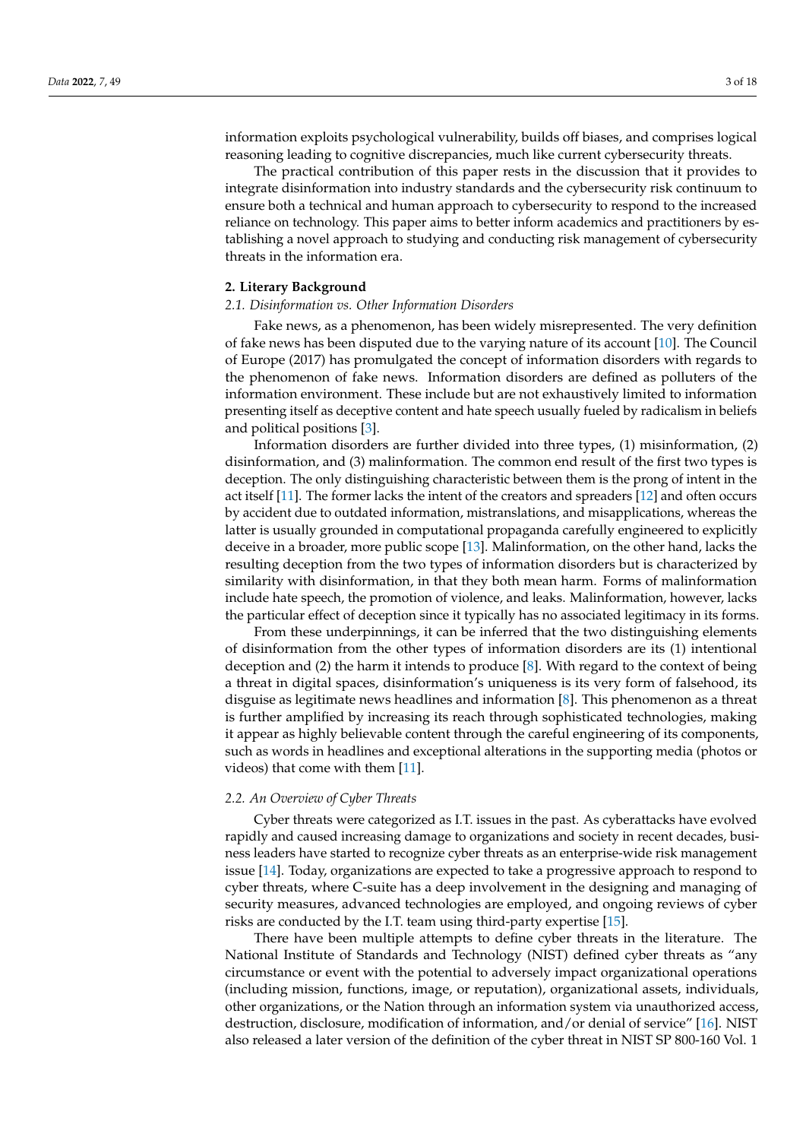information exploits psychological vulnerability, builds off biases, and comprises logical reasoning leading to cognitive discrepancies, much like current cybersecurity threats.

The practical contribution of this paper rests in the discussion that it provides to integrate disinformation into industry standards and the cybersecurity risk continuum to ensure both a technical and human approach to cybersecurity to respond to the increased reliance on technology. This paper aims to better inform academics and practitioners by establishing a novel approach to studying and conducting risk management of cybersecurity threats in the information era.

#### **2. Literary Background**

#### *2.1. Disinformation vs. Other Information Disorders*

Fake news, as a phenomenon, has been widely misrepresented. The very definition of fake news has been disputed due to the varying nature of its account [\[10\]](#page-16-1). The Council of Europe (2017) has promulgated the concept of information disorders with regards to the phenomenon of fake news. Information disorders are defined as polluters of the information environment. These include but are not exhaustively limited to information presenting itself as deceptive content and hate speech usually fueled by radicalism in beliefs and political positions [\[3\]](#page-15-2).

Information disorders are further divided into three types, (1) misinformation, (2) disinformation, and (3) malinformation. The common end result of the first two types is deception. The only distinguishing characteristic between them is the prong of intent in the act itself [\[11\]](#page-16-2). The former lacks the intent of the creators and spreaders [\[12\]](#page-16-3) and often occurs by accident due to outdated information, mistranslations, and misapplications, whereas the latter is usually grounded in computational propaganda carefully engineered to explicitly deceive in a broader, more public scope [\[13\]](#page-16-4). Malinformation, on the other hand, lacks the resulting deception from the two types of information disorders but is characterized by similarity with disinformation, in that they both mean harm. Forms of malinformation include hate speech, the promotion of violence, and leaks. Malinformation, however, lacks the particular effect of deception since it typically has no associated legitimacy in its forms.

From these underpinnings, it can be inferred that the two distinguishing elements of disinformation from the other types of information disorders are its (1) intentional deception and (2) the harm it intends to produce [\[8\]](#page-15-7). With regard to the context of being a threat in digital spaces, disinformation's uniqueness is its very form of falsehood, its disguise as legitimate news headlines and information [\[8\]](#page-15-7). This phenomenon as a threat is further amplified by increasing its reach through sophisticated technologies, making it appear as highly believable content through the careful engineering of its components, such as words in headlines and exceptional alterations in the supporting media (photos or videos) that come with them [\[11\]](#page-16-2).

#### *2.2. An Overview of Cyber Threats*

Cyber threats were categorized as I.T. issues in the past. As cyberattacks have evolved rapidly and caused increasing damage to organizations and society in recent decades, business leaders have started to recognize cyber threats as an enterprise-wide risk management issue [\[14\]](#page-16-5). Today, organizations are expected to take a progressive approach to respond to cyber threats, where C-suite has a deep involvement in the designing and managing of security measures, advanced technologies are employed, and ongoing reviews of cyber risks are conducted by the I.T. team using third-party expertise [\[15\]](#page-16-6).

There have been multiple attempts to define cyber threats in the literature. The National Institute of Standards and Technology (NIST) defined cyber threats as "any circumstance or event with the potential to adversely impact organizational operations (including mission, functions, image, or reputation), organizational assets, individuals, other organizations, or the Nation through an information system via unauthorized access, destruction, disclosure, modification of information, and/or denial of service" [\[16\]](#page-16-7). NIST also released a later version of the definition of the cyber threat in NIST SP 800-160 Vol. 1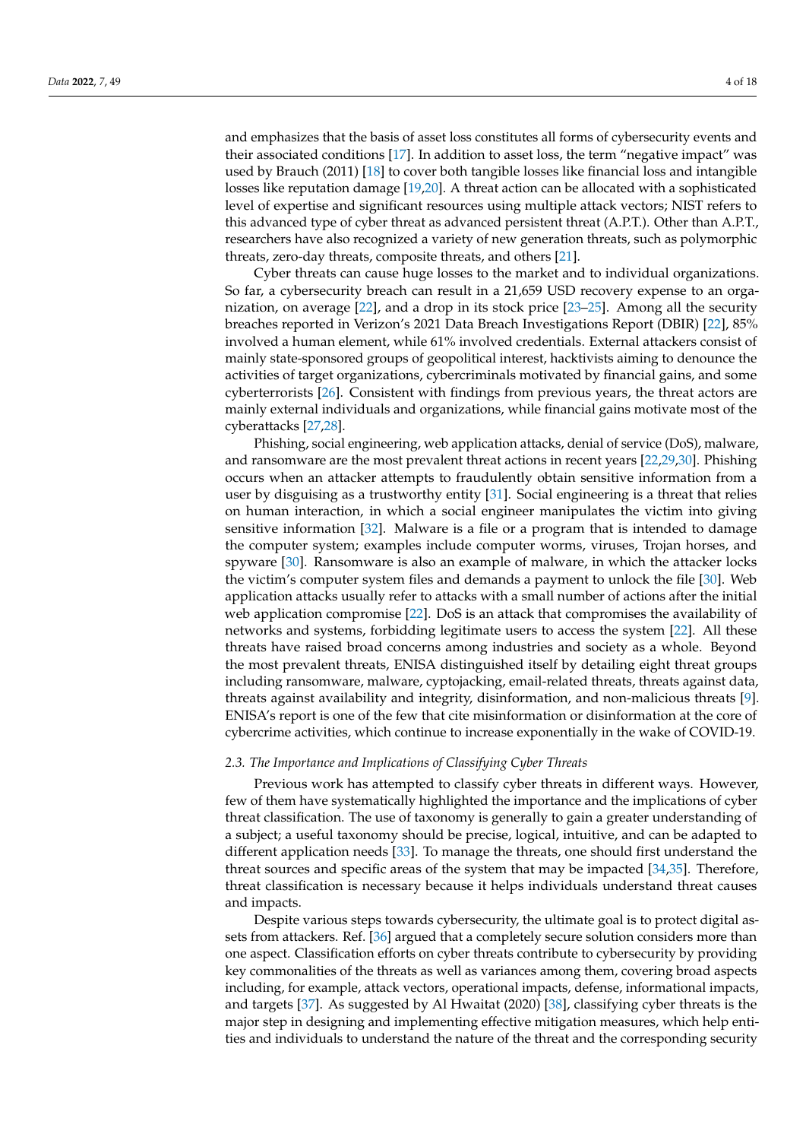and emphasizes that the basis of asset loss constitutes all forms of cybersecurity events and their associated conditions [\[17\]](#page-16-8). In addition to asset loss, the term "negative impact" was used by Brauch (2011) [\[18\]](#page-16-9) to cover both tangible losses like financial loss and intangible losses like reputation damage [\[19](#page-16-10)[,20\]](#page-16-11). A threat action can be allocated with a sophisticated level of expertise and significant resources using multiple attack vectors; NIST refers to this advanced type of cyber threat as advanced persistent threat (A.P.T.). Other than A.P.T., researchers have also recognized a variety of new generation threats, such as polymorphic threats, zero-day threats, composite threats, and others [\[21\]](#page-16-12).

Cyber threats can cause huge losses to the market and to individual organizations. So far, a cybersecurity breach can result in a 21,659 USD recovery expense to an organization, on average [\[22\]](#page-16-13), and a drop in its stock price [\[23](#page-16-14)[–25\]](#page-16-15). Among all the security breaches reported in Verizon's 2021 Data Breach Investigations Report (DBIR) [\[22\]](#page-16-13), 85% involved a human element, while 61% involved credentials. External attackers consist of mainly state-sponsored groups of geopolitical interest, hacktivists aiming to denounce the activities of target organizations, cybercriminals motivated by financial gains, and some cyberterrorists [\[26\]](#page-16-16). Consistent with findings from previous years, the threat actors are mainly external individuals and organizations, while financial gains motivate most of the cyberattacks [\[27](#page-16-17)[,28\]](#page-16-18).

Phishing, social engineering, web application attacks, denial of service (DoS), malware, and ransomware are the most prevalent threat actions in recent years [\[22](#page-16-13)[,29](#page-16-19)[,30\]](#page-16-20). Phishing occurs when an attacker attempts to fraudulently obtain sensitive information from a user by disguising as a trustworthy entity [\[31\]](#page-16-21). Social engineering is a threat that relies on human interaction, in which a social engineer manipulates the victim into giving sensitive information [\[32\]](#page-16-22). Malware is a file or a program that is intended to damage the computer system; examples include computer worms, viruses, Trojan horses, and spyware [\[30\]](#page-16-20). Ransomware is also an example of malware, in which the attacker locks the victim's computer system files and demands a payment to unlock the file [\[30\]](#page-16-20). Web application attacks usually refer to attacks with a small number of actions after the initial web application compromise [\[22\]](#page-16-13). DoS is an attack that compromises the availability of networks and systems, forbidding legitimate users to access the system [\[22\]](#page-16-13). All these threats have raised broad concerns among industries and society as a whole. Beyond the most prevalent threats, ENISA distinguished itself by detailing eight threat groups including ransomware, malware, cyptojacking, email-related threats, threats against data, threats against availability and integrity, disinformation, and non-malicious threats [\[9\]](#page-16-0). ENISA's report is one of the few that cite misinformation or disinformation at the core of cybercrime activities, which continue to increase exponentially in the wake of COVID-19.

## *2.3. The Importance and Implications of Classifying Cyber Threats*

Previous work has attempted to classify cyber threats in different ways. However, few of them have systematically highlighted the importance and the implications of cyber threat classification. The use of taxonomy is generally to gain a greater understanding of a subject; a useful taxonomy should be precise, logical, intuitive, and can be adapted to different application needs [\[33\]](#page-16-23). To manage the threats, one should first understand the threat sources and specific areas of the system that may be impacted [\[34,](#page-16-24)[35\]](#page-16-25). Therefore, threat classification is necessary because it helps individuals understand threat causes and impacts.

Despite various steps towards cybersecurity, the ultimate goal is to protect digital assets from attackers. Ref. [\[36\]](#page-16-26) argued that a completely secure solution considers more than one aspect. Classification efforts on cyber threats contribute to cybersecurity by providing key commonalities of the threats as well as variances among them, covering broad aspects including, for example, attack vectors, operational impacts, defense, informational impacts, and targets [\[37\]](#page-16-27). As suggested by Al Hwaitat (2020) [\[38\]](#page-16-28), classifying cyber threats is the major step in designing and implementing effective mitigation measures, which help entities and individuals to understand the nature of the threat and the corresponding security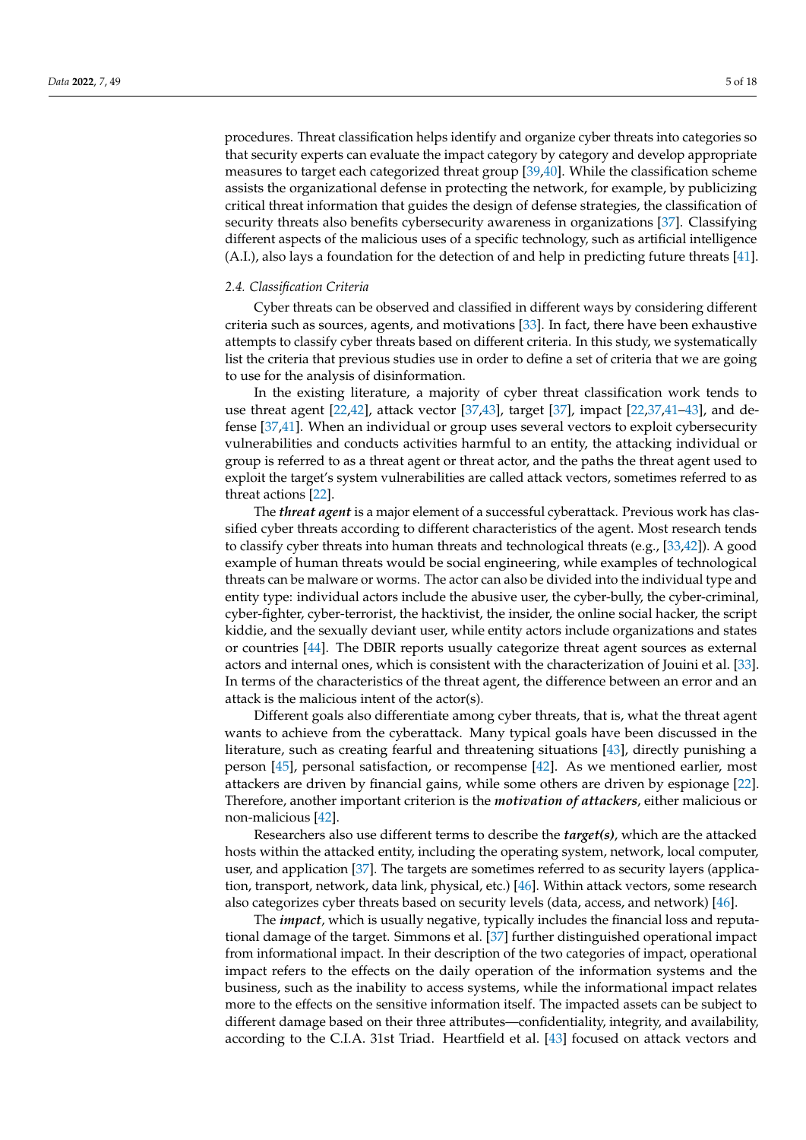procedures. Threat classification helps identify and organize cyber threats into categories so that security experts can evaluate the impact category by category and develop appropriate measures to target each categorized threat group [\[39,](#page-16-29)[40\]](#page-17-0). While the classification scheme assists the organizational defense in protecting the network, for example, by publicizing critical threat information that guides the design of defense strategies, the classification of security threats also benefits cybersecurity awareness in organizations [\[37\]](#page-16-27). Classifying different aspects of the malicious uses of a specific technology, such as artificial intelligence (A.I.), also lays a foundation for the detection of and help in predicting future threats [\[41\]](#page-17-1).

#### *2.4. Classification Criteria*

Cyber threats can be observed and classified in different ways by considering different criteria such as sources, agents, and motivations [\[33\]](#page-16-23). In fact, there have been exhaustive attempts to classify cyber threats based on different criteria. In this study, we systematically list the criteria that previous studies use in order to define a set of criteria that we are going to use for the analysis of disinformation.

In the existing literature, a majority of cyber threat classification work tends to use threat agent [\[22,](#page-16-13)[42\]](#page-17-2), attack vector [\[37](#page-16-27)[,43\]](#page-17-3), target [\[37\]](#page-16-27), impact [\[22,](#page-16-13)[37,](#page-16-27)[41](#page-17-1)[–43\]](#page-17-3), and defense [\[37,](#page-16-27)[41\]](#page-17-1). When an individual or group uses several vectors to exploit cybersecurity vulnerabilities and conducts activities harmful to an entity, the attacking individual or group is referred to as a threat agent or threat actor, and the paths the threat agent used to exploit the target's system vulnerabilities are called attack vectors, sometimes referred to as threat actions [\[22\]](#page-16-13).

The *threat agent* is a major element of a successful cyberattack. Previous work has classified cyber threats according to different characteristics of the agent. Most research tends to classify cyber threats into human threats and technological threats (e.g., [\[33](#page-16-23)[,42\]](#page-17-2)). A good example of human threats would be social engineering, while examples of technological threats can be malware or worms. The actor can also be divided into the individual type and entity type: individual actors include the abusive user, the cyber-bully, the cyber-criminal, cyber-fighter, cyber-terrorist, the hacktivist, the insider, the online social hacker, the script kiddie, and the sexually deviant user, while entity actors include organizations and states or countries [\[44\]](#page-17-4). The DBIR reports usually categorize threat agent sources as external actors and internal ones, which is consistent with the characterization of Jouini et al. [\[33\]](#page-16-23). In terms of the characteristics of the threat agent, the difference between an error and an attack is the malicious intent of the actor(s).

Different goals also differentiate among cyber threats, that is, what the threat agent wants to achieve from the cyberattack. Many typical goals have been discussed in the literature, such as creating fearful and threatening situations [\[43\]](#page-17-3), directly punishing a person [\[45\]](#page-17-5), personal satisfaction, or recompense [\[42\]](#page-17-2). As we mentioned earlier, most attackers are driven by financial gains, while some others are driven by espionage [\[22\]](#page-16-13). Therefore, another important criterion is the *motivation of attackers*, either malicious or non-malicious [\[42\]](#page-17-2).

Researchers also use different terms to describe the *target(s)*, which are the attacked hosts within the attacked entity, including the operating system, network, local computer, user, and application [\[37\]](#page-16-27). The targets are sometimes referred to as security layers (applica-tion, transport, network, data link, physical, etc.) [\[46\]](#page-17-6). Within attack vectors, some research also categorizes cyber threats based on security levels (data, access, and network) [\[46\]](#page-17-6).

The *impact*, which is usually negative, typically includes the financial loss and reputational damage of the target. Simmons et al. [\[37\]](#page-16-27) further distinguished operational impact from informational impact. In their description of the two categories of impact, operational impact refers to the effects on the daily operation of the information systems and the business, such as the inability to access systems, while the informational impact relates more to the effects on the sensitive information itself. The impacted assets can be subject to different damage based on their three attributes—confidentiality, integrity, and availability, according to the C.I.A. 31st Triad. Heartfield et al. [\[43\]](#page-17-3) focused on attack vectors and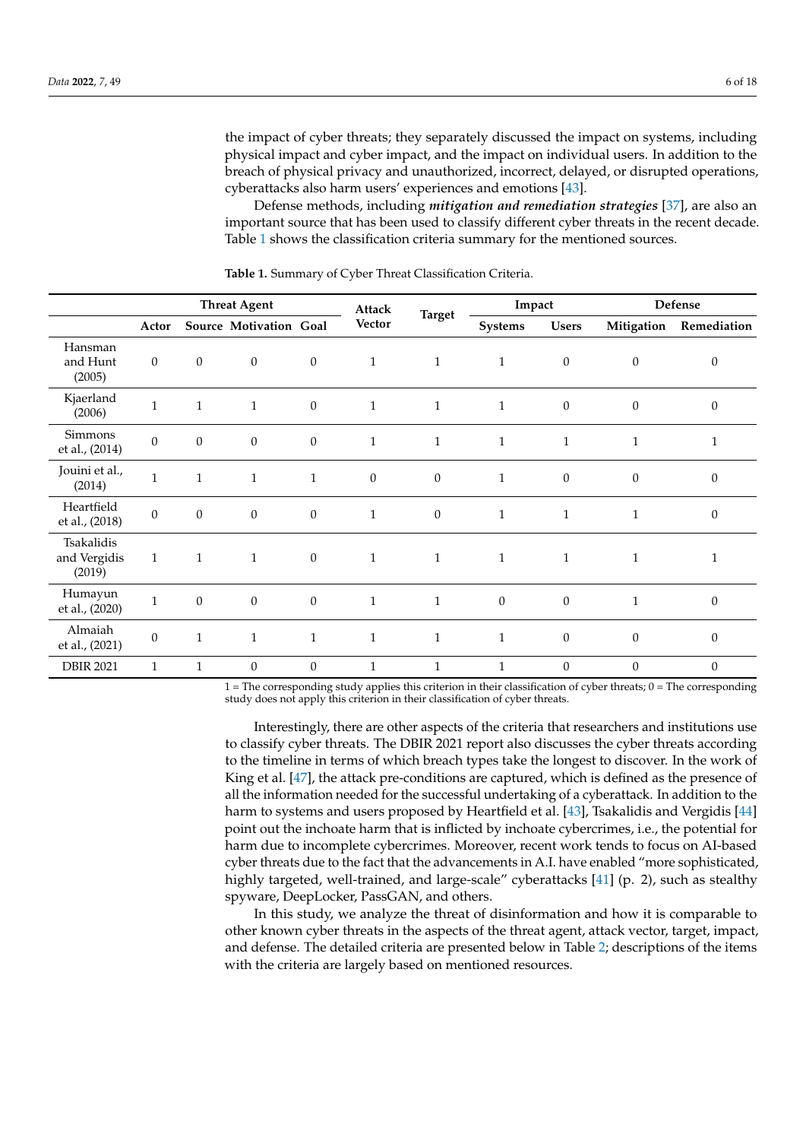the impact of cyber threats; they separately discussed the impact on systems, including physical impact and cyber impact, and the impact on individual users. In addition to the breach of physical privacy and unauthorized, incorrect, delayed, or disrupted operations, cyberattacks also harm users' experiences and emotions [\[43\]](#page-17-3).

Defense methods, including *mitigation and remediation strategies* [\[37\]](#page-16-27), are also an important source that has been used to classify different cyber threats in the recent decade. Table [1](#page-5-0) shows the classification criteria summary for the mentioned sources.

|                                      |                  |                  | <b>Threat Agent</b>    |                  | Attack           | Impact           |                | Defense          |                  |                  |
|--------------------------------------|------------------|------------------|------------------------|------------------|------------------|------------------|----------------|------------------|------------------|------------------|
|                                      | Actor            |                  | Source Motivation Goal |                  | <b>Vector</b>    | <b>Target</b>    | Systems        | <b>Users</b>     | Mitigation       | Remediation      |
| Hansman<br>and Hunt<br>(2005)        | $\boldsymbol{0}$ | $\mathbf{0}$     | $\mathbf{0}$           | $\mathbf{0}$     | $\mathbf{1}$     | $\mathbf{1}$     | $\mathbf{1}$   | $\boldsymbol{0}$ | $\boldsymbol{0}$ | $\boldsymbol{0}$ |
| Kjaerland<br>(2006)                  | $\mathbf{1}$     | $\mathbf{1}$     | $\mathbf{1}$           | $\mathbf{0}$     | $\mathbf{1}$     | $\mathbf{1}$     | $\mathbf{1}$   | $\theta$         | $\theta$         | $\theta$         |
| Simmons<br>et al., (2014)            | $\boldsymbol{0}$ | $\boldsymbol{0}$ | $\boldsymbol{0}$       | $\mathbf{0}$     | $\mathbf{1}$     | $\mathbf{1}$     | $\mathbf{1}$   | $\mathbf{1}$     | $\mathbf{1}$     | $\mathbf{1}$     |
| Jouini et al.,<br>(2014)             | $\mathbf{1}$     | $\mathbf{1}$     | $\mathbf{1}$           | $\mathbf{1}$     | $\boldsymbol{0}$ | $\mathbf{0}$     | $\mathbf{1}$   | $\theta$         | $\mathbf{0}$     | $\boldsymbol{0}$ |
| Heartfield<br>et al., (2018)         | $\boldsymbol{0}$ | $\boldsymbol{0}$ | $\boldsymbol{0}$       | $\boldsymbol{0}$ | $\mathbf{1}$     | $\boldsymbol{0}$ | $\mathbf{1}$   | $\mathbf{1}$     | 1                | $\boldsymbol{0}$ |
| Tsakalidis<br>and Vergidis<br>(2019) | $1\,$            | $\mathbf{1}$     | $\mathbf{1}$           | $\mathbf{0}$     | $\mathbf{1}$     | $\mathbf{1}$     | $\mathbf{1}$   | $\mathbf{1}$     | $\mathbf{1}$     | $\mathbf{1}$     |
| Humayun<br>et al., (2020)            | $\mathbf{1}$     | $\mathbf{0}$     | $\boldsymbol{0}$       | $\boldsymbol{0}$ | $\mathbf{1}$     | $\mathbf{1}$     | $\overline{0}$ | $\boldsymbol{0}$ | $\mathbf{1}$     | $\boldsymbol{0}$ |
| Almaiah<br>et al., (2021)            | $\theta$         | $\mathbf{1}$     | $\mathbf{1}$           | $\mathbf{1}$     | $\mathbf{1}$     | $\mathbf{1}$     | $\mathbf{1}$   | $\theta$         | $\theta$         | $\boldsymbol{0}$ |
| <b>DBIR 2021</b>                     | $\mathbf{1}$     | $\mathbf{1}$     | $\mathbf{0}$           | $\mathbf{0}$     | $\mathbf{1}$     | $\mathbf{1}$     | $\mathbf{1}$   | $\mathbf{0}$     | $\theta$         | $\theta$         |

<span id="page-5-0"></span>**Table 1.** Summary of Cyber Threat Classification Criteria.

1 = The corresponding study applies this criterion in their classification of cyber threats; 0 = The corresponding study does not apply this criterion in their classification of cyber threats.

Interestingly, there are other aspects of the criteria that researchers and institutions use to classify cyber threats. The DBIR 2021 report also discusses the cyber threats according to the timeline in terms of which breach types take the longest to discover. In the work of King et al. [\[47\]](#page-17-7), the attack pre-conditions are captured, which is defined as the presence of all the information needed for the successful undertaking of a cyberattack. In addition to the harm to systems and users proposed by Heartfield et al. [\[43\]](#page-17-3), Tsakalidis and Vergidis [\[44\]](#page-17-4) point out the inchoate harm that is inflicted by inchoate cybercrimes, i.e., the potential for harm due to incomplete cybercrimes. Moreover, recent work tends to focus on AI-based cyber threats due to the fact that the advancements in A.I. have enabled "more sophisticated, highly targeted, well-trained, and large-scale" cyberattacks [\[41\]](#page-17-1) (p. 2), such as stealthy spyware, DeepLocker, PassGAN, and others.

In this study, we analyze the threat of disinformation and how it is comparable to other known cyber threats in the aspects of the threat agent, attack vector, target, impact, and defense. The detailed criteria are presented below in Table [2;](#page-6-0) descriptions of the items with the criteria are largely based on mentioned resources.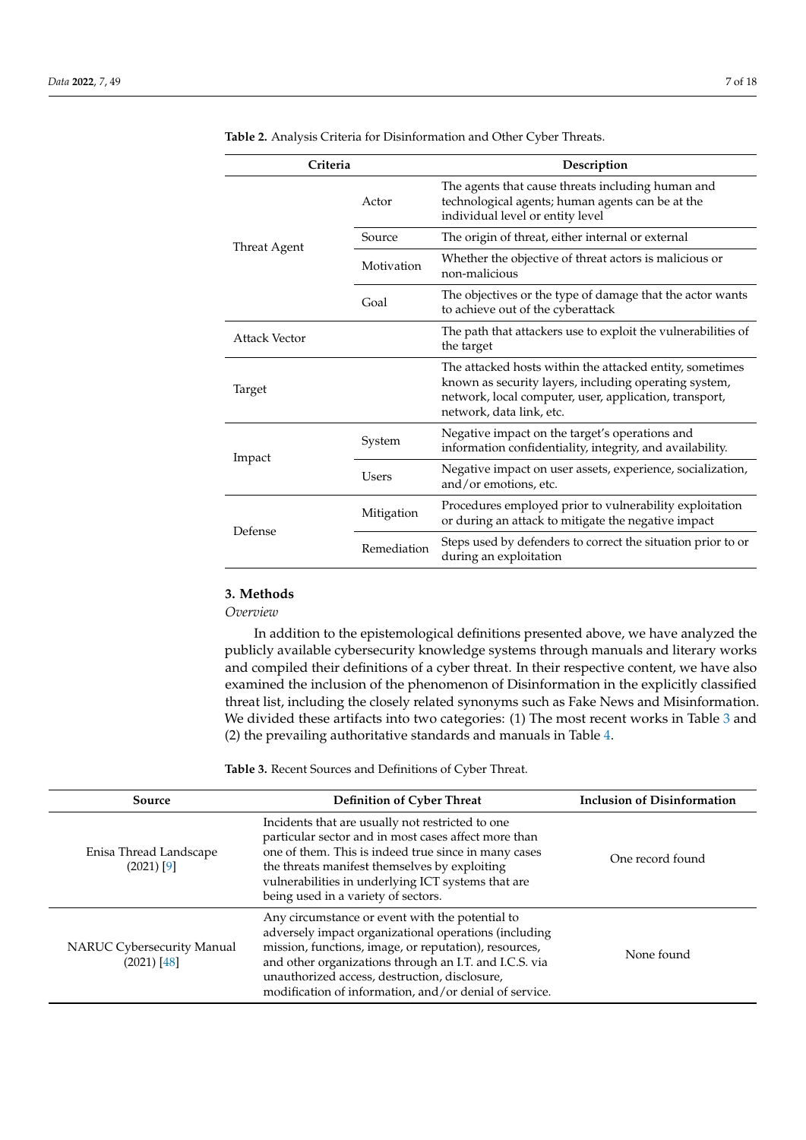| Criteria      |             | Description                                                                                                                                                                                             |  |  |  |  |
|---------------|-------------|---------------------------------------------------------------------------------------------------------------------------------------------------------------------------------------------------------|--|--|--|--|
|               | Actor       | The agents that cause threats including human and<br>technological agents; human agents can be at the<br>individual level or entity level                                                               |  |  |  |  |
| Threat Agent  | Source      | The origin of threat, either internal or external                                                                                                                                                       |  |  |  |  |
|               | Motivation  | Whether the objective of threat actors is malicious or<br>non-malicious                                                                                                                                 |  |  |  |  |
|               | Goal        | The objectives or the type of damage that the actor wants<br>to achieve out of the cyberattack                                                                                                          |  |  |  |  |
| Attack Vector |             | The path that attackers use to exploit the vulnerabilities of<br>the target                                                                                                                             |  |  |  |  |
| Target        |             | The attacked hosts within the attacked entity, sometimes<br>known as security layers, including operating system,<br>network, local computer, user, application, transport,<br>network, data link, etc. |  |  |  |  |
|               | System      | Negative impact on the target's operations and<br>information confidentiality, integrity, and availability.                                                                                             |  |  |  |  |
| Impact        | Users       | Negative impact on user assets, experience, socialization,<br>and/or emotions, etc.                                                                                                                     |  |  |  |  |
| Defense       | Mitigation  | Procedures employed prior to vulnerability exploitation<br>or during an attack to mitigate the negative impact                                                                                          |  |  |  |  |
|               | Remediation | Steps used by defenders to correct the situation prior to or<br>during an exploitation                                                                                                                  |  |  |  |  |

<span id="page-6-0"></span>**Table 2.** Analysis Criteria for Disinformation and Other Cyber Threats.

# **3. Methods**

*Overview*

In addition to the epistemological definitions presented above, we have analyzed the publicly available cybersecurity knowledge systems through manuals and literary works and compiled their definitions of a cyber threat. In their respective content, we have also examined the inclusion of the phenomenon of Disinformation in the explicitly classified threat list, including the closely related synonyms such as Fake News and Misinformation. We divided these artifacts into two categories: (1) The most recent works in Table [3](#page-7-0) and (2) the prevailing authoritative standards and manuals in Table [4.](#page-8-0)

**Table 3.** Recent Sources and Definitions of Cyber Threat.

| Source                                      | <b>Definition of Cyber Threat</b>                                                                                                                                                                                                                                                                                                      | <b>Inclusion of Disinformation</b> |
|---------------------------------------------|----------------------------------------------------------------------------------------------------------------------------------------------------------------------------------------------------------------------------------------------------------------------------------------------------------------------------------------|------------------------------------|
| Enisa Thread Landscape<br>$(2021)$ [9]      | Incidents that are usually not restricted to one<br>particular sector and in most cases affect more than<br>one of them. This is indeed true since in many cases<br>the threats manifest themselves by exploiting<br>vulnerabilities in underlying ICT systems that are<br>being used in a variety of sectors.                         | One record found                   |
| NARUC Cybersecurity Manual<br>$(2021)$ [48] | Any circumstance or event with the potential to<br>adversely impact organizational operations (including<br>mission, functions, image, or reputation), resources,<br>and other organizations through an I.T. and I.C.S. via<br>unauthorized access, destruction, disclosure,<br>modification of information, and/or denial of service. | None found                         |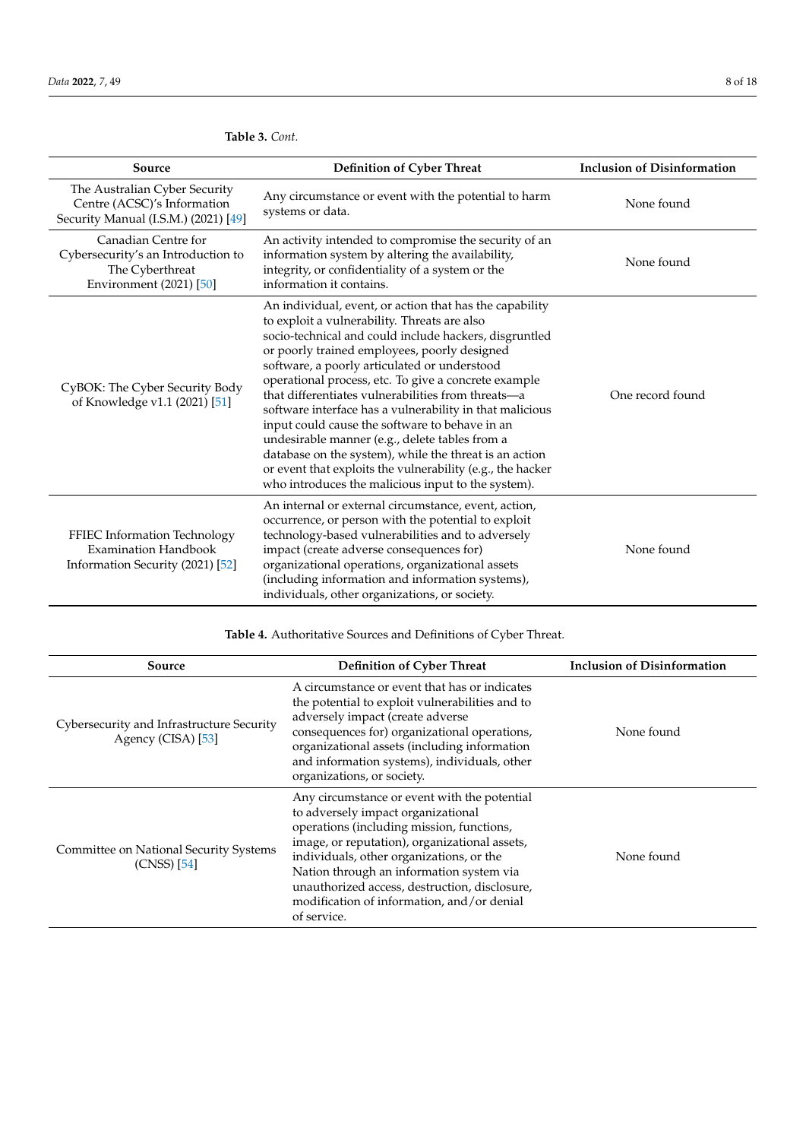| Source                                                                                                  | Definition of Cyber Threat                                                                                                                                                                                                                                                                                                                                                                                                                                                                                                                                                                                                                                                                                                    | <b>Inclusion of Disinformation</b> |
|---------------------------------------------------------------------------------------------------------|-------------------------------------------------------------------------------------------------------------------------------------------------------------------------------------------------------------------------------------------------------------------------------------------------------------------------------------------------------------------------------------------------------------------------------------------------------------------------------------------------------------------------------------------------------------------------------------------------------------------------------------------------------------------------------------------------------------------------------|------------------------------------|
| The Australian Cyber Security<br>Centre (ACSC)'s Information<br>Security Manual (I.S.M.) (2021) [49]    | Any circumstance or event with the potential to harm<br>systems or data.                                                                                                                                                                                                                                                                                                                                                                                                                                                                                                                                                                                                                                                      | None found                         |
| Canadian Centre for<br>Cybersecurity's an Introduction to<br>The Cyberthreat<br>Environment (2021) [50] | An activity intended to compromise the security of an<br>information system by altering the availability,<br>integrity, or confidentiality of a system or the<br>information it contains.                                                                                                                                                                                                                                                                                                                                                                                                                                                                                                                                     | None found                         |
| CyBOK: The Cyber Security Body<br>of Knowledge v1.1 (2021) [51]                                         | An individual, event, or action that has the capability<br>to exploit a vulnerability. Threats are also<br>socio-technical and could include hackers, disgruntled<br>or poorly trained employees, poorly designed<br>software, a poorly articulated or understood<br>operational process, etc. To give a concrete example<br>that differentiates vulnerabilities from threats-a<br>software interface has a vulnerability in that malicious<br>input could cause the software to behave in an<br>undesirable manner (e.g., delete tables from a<br>database on the system), while the threat is an action<br>or event that exploits the vulnerability (e.g., the hacker<br>who introduces the malicious input to the system). | One record found                   |
| FFIEC Information Technology<br><b>Examination Handbook</b><br>Information Security (2021) [52]         | An internal or external circumstance, event, action,<br>occurrence, or person with the potential to exploit<br>technology-based vulnerabilities and to adversely<br>impact (create adverse consequences for)<br>organizational operations, organizational assets<br>(including information and information systems),<br>individuals, other organizations, or society.                                                                                                                                                                                                                                                                                                                                                         | None found                         |

<span id="page-7-0"></span>**Table 3.** *Cont.*

**Table 4.** Authoritative Sources and Definitions of Cyber Threat.

| Source                                                          | <b>Definition of Cyber Threat</b>                                                                                                                                                                                                                                                                                                                                                      | <b>Inclusion of Disinformation</b> |
|-----------------------------------------------------------------|----------------------------------------------------------------------------------------------------------------------------------------------------------------------------------------------------------------------------------------------------------------------------------------------------------------------------------------------------------------------------------------|------------------------------------|
| Cybersecurity and Infrastructure Security<br>Agency (CISA) [53] | A circumstance or event that has or indicates<br>the potential to exploit vulnerabilities and to<br>adversely impact (create adverse<br>consequences for) organizational operations,<br>organizational assets (including information<br>and information systems), individuals, other<br>organizations, or society.                                                                     | None found                         |
| Committee on National Security Systems<br>$(CNSS)$ [54]         | Any circumstance or event with the potential<br>to adversely impact organizational<br>operations (including mission, functions,<br>image, or reputation), organizational assets,<br>individuals, other organizations, or the<br>Nation through an information system via<br>unauthorized access, destruction, disclosure,<br>modification of information, and/or denial<br>of service. | None found                         |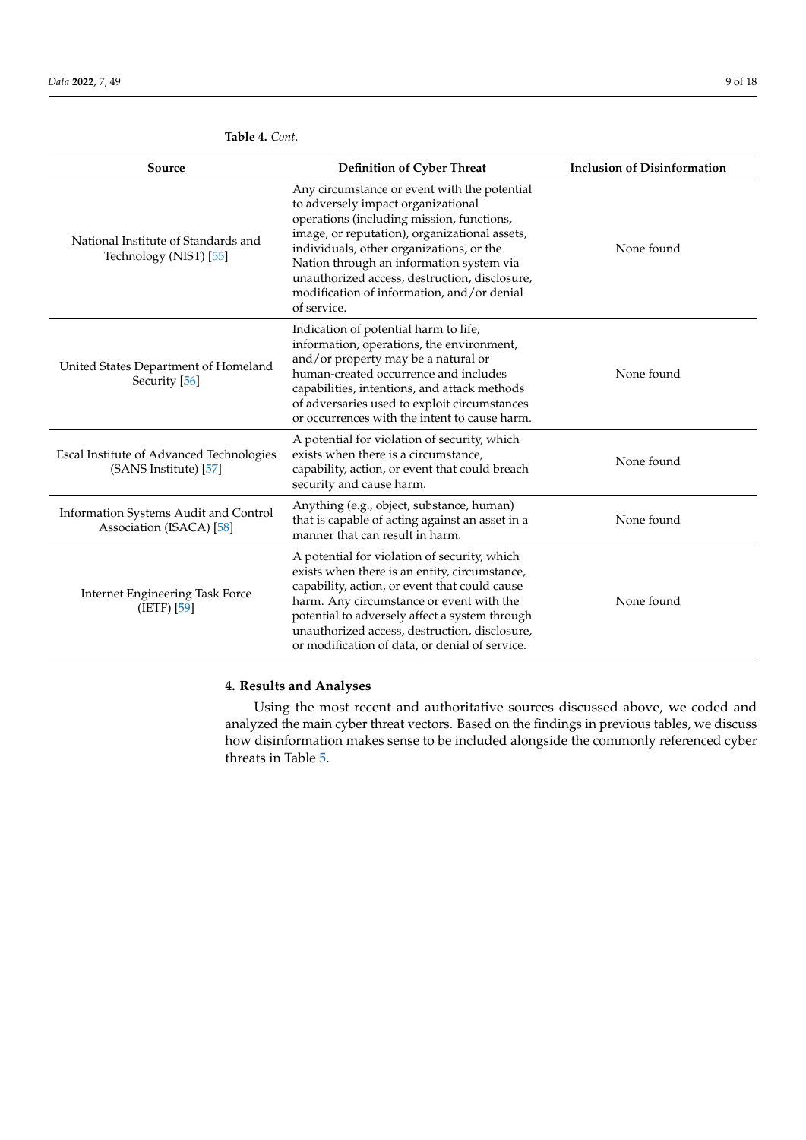| Source                                                            | Definition of Cyber Threat                                                                                                                                                                                                                                                                                                                                                             | <b>Inclusion of Disinformation</b> |
|-------------------------------------------------------------------|----------------------------------------------------------------------------------------------------------------------------------------------------------------------------------------------------------------------------------------------------------------------------------------------------------------------------------------------------------------------------------------|------------------------------------|
| National Institute of Standards and<br>Technology (NIST) [55]     | Any circumstance or event with the potential<br>to adversely impact organizational<br>operations (including mission, functions,<br>image, or reputation), organizational assets,<br>individuals, other organizations, or the<br>Nation through an information system via<br>unauthorized access, destruction, disclosure,<br>modification of information, and/or denial<br>of service. | None found                         |
| United States Department of Homeland<br>Security [56]             | Indication of potential harm to life,<br>information, operations, the environment,<br>and/or property may be a natural or<br>human-created occurrence and includes<br>capabilities, intentions, and attack methods<br>of adversaries used to exploit circumstances<br>or occurrences with the intent to cause harm.                                                                    | None found                         |
| Escal Institute of Advanced Technologies<br>(SANS Institute) [57] | A potential for violation of security, which<br>exists when there is a circumstance,<br>capability, action, or event that could breach<br>security and cause harm.                                                                                                                                                                                                                     | None found                         |
| Information Systems Audit and Control<br>Association (ISACA) [58] | Anything (e.g., object, substance, human)<br>that is capable of acting against an asset in a<br>manner that can result in harm.                                                                                                                                                                                                                                                        | None found                         |
| Internet Engineering Task Force<br>(IETF) [59]                    | A potential for violation of security, which<br>exists when there is an entity, circumstance,<br>capability, action, or event that could cause<br>harm. Any circumstance or event with the<br>potential to adversely affect a system through<br>unauthorized access, destruction, disclosure,<br>or modification of data, or denial of service.                                        | None found                         |

<span id="page-8-0"></span>**Table 4.** *Cont.*

# **4. Results and Analyses**

Using the most recent and authoritative sources discussed above, we coded and analyzed the main cyber threat vectors. Based on the findings in previous tables, we discuss how disinformation makes sense to be included alongside the commonly referenced cyber threats in Table [5.](#page-12-0)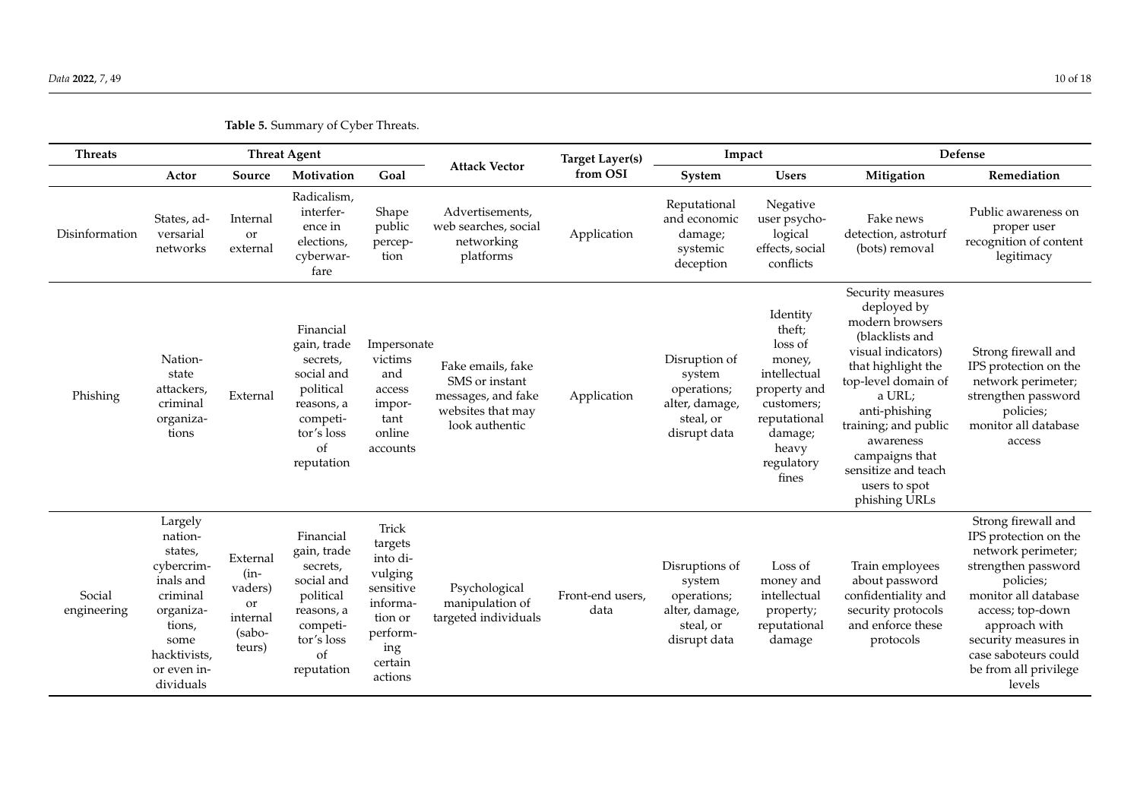| <b>Threats</b>        | <b>Threat Agent</b>                                                                                                                             |                                                                     |                                                                                                                             |                                                                                                                      | <b>Target Layer(s)</b>                                                                           |                          | Impact                                                                                 |                                                                                                                                                  | Defense                                                                                                                                                                                                                                                                              |                                                                                                                                                                                                                                                        |  |
|-----------------------|-------------------------------------------------------------------------------------------------------------------------------------------------|---------------------------------------------------------------------|-----------------------------------------------------------------------------------------------------------------------------|----------------------------------------------------------------------------------------------------------------------|--------------------------------------------------------------------------------------------------|--------------------------|----------------------------------------------------------------------------------------|--------------------------------------------------------------------------------------------------------------------------------------------------|--------------------------------------------------------------------------------------------------------------------------------------------------------------------------------------------------------------------------------------------------------------------------------------|--------------------------------------------------------------------------------------------------------------------------------------------------------------------------------------------------------------------------------------------------------|--|
|                       | Actor                                                                                                                                           | Source                                                              | Motivation                                                                                                                  | Goal                                                                                                                 | <b>Attack Vector</b>                                                                             | from OSI                 | System                                                                                 | <b>Users</b>                                                                                                                                     | Mitigation                                                                                                                                                                                                                                                                           | Remediation                                                                                                                                                                                                                                            |  |
| Disinformation        | States, ad-<br>versarial<br>networks                                                                                                            | Internal<br>or<br>external                                          | Radicalism,<br>interfer-<br>ence in<br>elections,<br>cyberwar-<br>fare                                                      | Shape<br>public<br>percep-<br>tion                                                                                   | Advertisements,<br>web searches, social<br>networking<br>platforms                               | Application              | Reputational<br>and economic<br>damage;<br>systemic<br>deception                       | Negative<br>user psycho-<br>logical<br>effects, social<br>conflicts                                                                              | Fake news<br>detection, astroturf<br>(bots) removal                                                                                                                                                                                                                                  | Public awareness on<br>proper user<br>recognition of content<br>legitimacy                                                                                                                                                                             |  |
| Phishing              | Nation-<br>state<br>attackers,<br>criminal<br>organiza-<br>tions                                                                                | External                                                            | Financial<br>gain, trade<br>secrets,<br>social and<br>political<br>reasons, a<br>competi-<br>tor's loss<br>of<br>reputation | Impersonate<br>victims<br>and<br>access<br>impor-<br>tant<br>online<br>accounts                                      | Fake emails, fake<br>SMS or instant<br>messages, and fake<br>websites that may<br>look authentic | Application              | Disruption of<br>system<br>operations;<br>alter, damage,<br>steal, or<br>disrupt data  | Identity<br>theft;<br>loss of<br>money,<br>intellectual<br>property and<br>customers;<br>reputational<br>damage;<br>heavy<br>regulatory<br>fines | Security measures<br>deployed by<br>modern browsers<br>(blacklists and<br>visual indicators)<br>that highlight the<br>top-level domain of<br>a URL;<br>anti-phishing<br>training; and public<br>awareness<br>campaigns that<br>sensitize and teach<br>users to spot<br>phishing URLs | Strong firewall and<br>IPS protection on the<br>network perimeter;<br>strengthen password<br>policies;<br>monitor all database<br>access                                                                                                               |  |
| Social<br>engineering | Largely<br>nation-<br>states,<br>cybercrim-<br>inals and<br>criminal<br>organiza-<br>tions,<br>some<br>hacktivists,<br>or even in-<br>dividuals | External<br>$(in-$<br>vaders)<br>or<br>internal<br>(sabo-<br>teurs) | Financial<br>gain, trade<br>secrets,<br>social and<br>political<br>reasons, a<br>competi-<br>tor's loss<br>of<br>reputation | Trick<br>targets<br>into di-<br>vulging<br>sensitive<br>informa-<br>tion or<br>perform-<br>ing<br>certain<br>actions | Psychological<br>manipulation of<br>targeted individuals                                         | Front-end users,<br>data | Disruptions of<br>system<br>operations;<br>alter, damage,<br>steal, or<br>disrupt data | Loss of<br>money and<br>intellectual<br>property;<br>reputational<br>damage                                                                      | Train employees<br>about password<br>confidentiality and<br>security protocols<br>and enforce these<br>protocols                                                                                                                                                                     | Strong firewall and<br>IPS protection on the<br>network perimeter;<br>strengthen password<br>policies;<br>monitor all database<br>access; top-down<br>approach with<br>security measures in<br>case saboteurs could<br>be from all privilege<br>levels |  |

**Table 5.** Summary of Cyber Threats.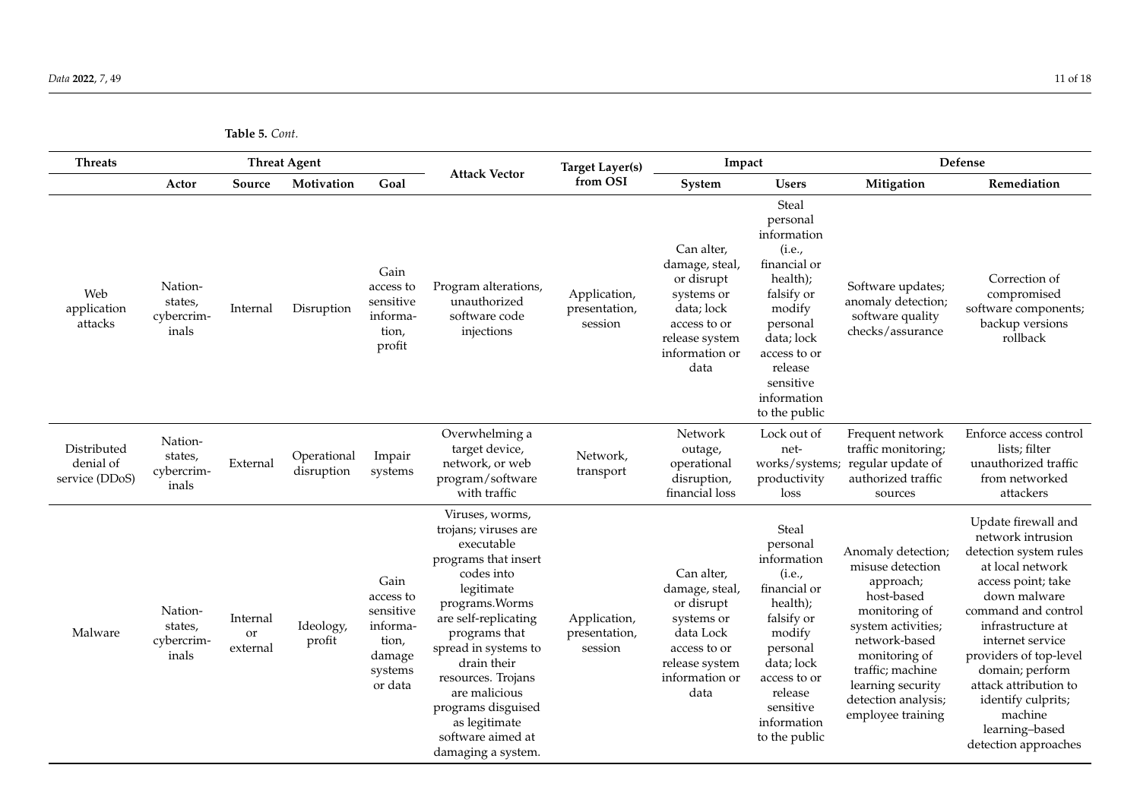**Table 5.** *Cont.*

| <b>Threats</b>                             |                                           |                            | <b>Threat Agent</b>       |                                                                                     |                                                                                                                                                                                                                                                                                                                                       | <b>Target Layer(s)</b>                   | Impact                                                                                                                             |                                                                                                                                                                                                  | Defense                                                                                                                                                                                                                         |                                                                                                                                                                                                                                                                                                                                               |
|--------------------------------------------|-------------------------------------------|----------------------------|---------------------------|-------------------------------------------------------------------------------------|---------------------------------------------------------------------------------------------------------------------------------------------------------------------------------------------------------------------------------------------------------------------------------------------------------------------------------------|------------------------------------------|------------------------------------------------------------------------------------------------------------------------------------|--------------------------------------------------------------------------------------------------------------------------------------------------------------------------------------------------|---------------------------------------------------------------------------------------------------------------------------------------------------------------------------------------------------------------------------------|-----------------------------------------------------------------------------------------------------------------------------------------------------------------------------------------------------------------------------------------------------------------------------------------------------------------------------------------------|
|                                            | Actor                                     | Source                     | Motivation                | Goal                                                                                | <b>Attack Vector</b>                                                                                                                                                                                                                                                                                                                  | from OSI                                 | System                                                                                                                             | <b>Users</b>                                                                                                                                                                                     | Mitigation                                                                                                                                                                                                                      | Remediation                                                                                                                                                                                                                                                                                                                                   |
| Web<br>application<br>attacks              | Nation-<br>states,<br>cybercrim-<br>inals | Internal                   | Disruption                | Gain<br>access to<br>sensitive<br>informa-<br>tion,<br>profit                       | Program alterations,<br>unauthorized<br>software code<br>injections                                                                                                                                                                                                                                                                   | Application,<br>presentation,<br>session | Can alter,<br>damage, steal,<br>or disrupt<br>systems or<br>data; lock<br>access to or<br>release system<br>information or<br>data | Steal<br>personal<br>information<br>(i.e.,<br>financial or<br>health);<br>falsify or<br>modify<br>personal<br>data; lock<br>access to or<br>release<br>sensitive<br>information<br>to the public | Software updates;<br>anomaly detection;<br>software quality<br>checks/assurance                                                                                                                                                 | Correction of<br>compromised<br>software components;<br>backup versions<br>rollback                                                                                                                                                                                                                                                           |
| Distributed<br>denial of<br>service (DDoS) | Nation-<br>states,<br>cybercrim-<br>inals | External                   | Operational<br>disruption | Impair<br>systems                                                                   | Overwhelming a<br>target device,<br>network, or web<br>program/software<br>with traffic                                                                                                                                                                                                                                               | Network,<br>transport                    | Network<br>outage,<br>operational<br>disruption,<br>financial loss                                                                 | Lock out of<br>net-<br>works/systems;<br>productivity<br>loss                                                                                                                                    | Frequent network<br>traffic monitoring;<br>regular update of<br>authorized traffic<br>sources                                                                                                                                   | Enforce access control<br>lists; filter<br>unauthorized traffic<br>from networked<br>attackers                                                                                                                                                                                                                                                |
| Malware                                    | Nation-<br>states,<br>cybercrim-<br>inals | Internal<br>or<br>external | Ideology,<br>profit       | Gain<br>access to<br>sensitive<br>informa-<br>tion,<br>damage<br>systems<br>or data | Viruses, worms,<br>trojans; viruses are<br>executable<br>programs that insert<br>codes into<br>legitimate<br>programs. Worms<br>are self-replicating<br>programs that<br>spread in systems to<br>drain their<br>resources. Trojans<br>are malicious<br>programs disguised<br>as legitimate<br>software aimed at<br>damaging a system. | Application,<br>presentation,<br>session | Can alter,<br>damage, steal,<br>or disrupt<br>systems or<br>data Lock<br>access to or<br>release system<br>information or<br>data  | Steal<br>personal<br>information<br>(i.e.,<br>financial or<br>health);<br>falsify or<br>modify<br>personal<br>data; lock<br>access to or<br>release<br>sensitive<br>information<br>to the public | Anomaly detection;<br>misuse detection<br>approach;<br>host-based<br>monitoring of<br>system activities;<br>network-based<br>monitoring of<br>traffic; machine<br>learning security<br>detection analysis;<br>employee training | Update firewall and<br>network intrusion<br>detection system rules<br>at local network<br>access point; take<br>down malware<br>command and control<br>infrastructure at<br>internet service<br>providers of top-level<br>domain; perform<br>attack attribution to<br>identify culprits;<br>machine<br>learning-based<br>detection approaches |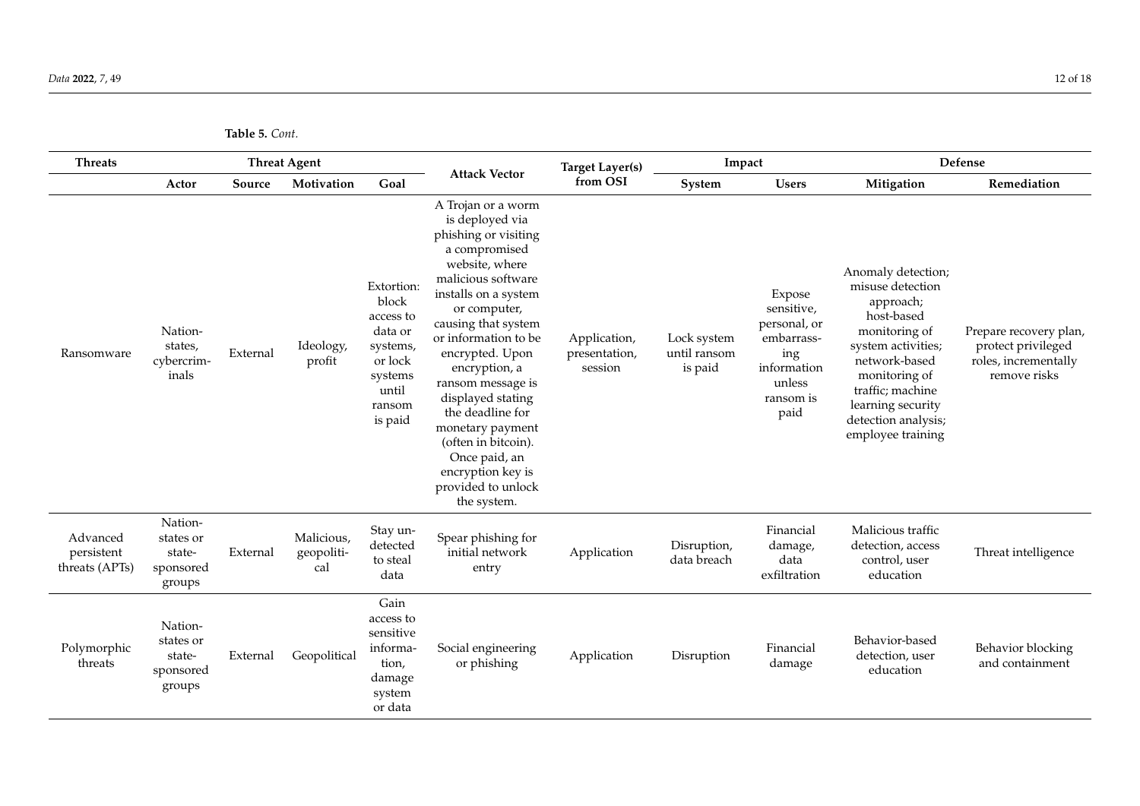**Table 5.** *Cont.*

| <b>Threats</b>                           |                                                       |          | <b>Threat Agent</b>             |                                                                                                             |                                                                                                                                                                                                                                                                                                                                                                                                                                       | <b>Target Layer(s)</b>                   | Impact                                 |                                                                                                         | Defense                                                                                                                                                                                                                         |                                                                                      |  |
|------------------------------------------|-------------------------------------------------------|----------|---------------------------------|-------------------------------------------------------------------------------------------------------------|---------------------------------------------------------------------------------------------------------------------------------------------------------------------------------------------------------------------------------------------------------------------------------------------------------------------------------------------------------------------------------------------------------------------------------------|------------------------------------------|----------------------------------------|---------------------------------------------------------------------------------------------------------|---------------------------------------------------------------------------------------------------------------------------------------------------------------------------------------------------------------------------------|--------------------------------------------------------------------------------------|--|
|                                          | Actor                                                 | Source   | Motivation                      | Goal                                                                                                        | <b>Attack Vector</b>                                                                                                                                                                                                                                                                                                                                                                                                                  | from OSI                                 | System                                 | <b>Users</b>                                                                                            | Mitigation                                                                                                                                                                                                                      | Remediation                                                                          |  |
| Ransomware                               | Nation-<br>states,<br>cybercrim-<br>inals             | External | Ideology,<br>profit             | Extortion:<br>block<br>access to<br>data or<br>systems,<br>or lock<br>systems<br>until<br>ransom<br>is paid | A Trojan or a worm<br>is deployed via<br>phishing or visiting<br>a compromised<br>website, where<br>malicious software<br>installs on a system<br>or computer,<br>causing that system<br>or information to be<br>encrypted. Upon<br>encryption, a<br>ransom message is<br>displayed stating<br>the deadline for<br>monetary payment<br>(often in bitcoin).<br>Once paid, an<br>encryption key is<br>provided to unlock<br>the system. | Application,<br>presentation,<br>session | Lock system<br>until ransom<br>is paid | Expose<br>sensitive,<br>personal, or<br>embarrass-<br>ing<br>information<br>unless<br>ransom is<br>paid | Anomaly detection;<br>misuse detection<br>approach;<br>host-based<br>monitoring of<br>system activities;<br>network-based<br>monitoring of<br>traffic; machine<br>learning security<br>detection analysis;<br>employee training | Prepare recovery plan,<br>protect privileged<br>roles, incrementally<br>remove risks |  |
| Advanced<br>persistent<br>threats (APTs) | Nation-<br>states or<br>state-<br>sponsored<br>groups | External | Malicious,<br>geopoliti-<br>cal | Stay un-<br>detected<br>to steal<br>data                                                                    | Spear phishing for<br>initial network<br>entry                                                                                                                                                                                                                                                                                                                                                                                        | Application                              | Disruption,<br>data breach             | Financial<br>damage,<br>data<br>exfiltration                                                            | Malicious traffic<br>detection, access<br>control, user<br>education                                                                                                                                                            | Threat intelligence                                                                  |  |
| Polymorphic<br>threats                   | Nation-<br>states or<br>state-<br>sponsored<br>groups | External | Geopolitical                    | Gain<br>access to<br>sensitive<br>informa-<br>tion,<br>damage<br>system<br>or data                          | Social engineering<br>or phishing                                                                                                                                                                                                                                                                                                                                                                                                     | Application                              | Disruption                             | Financial<br>damage                                                                                     | Behavior-based<br>detection, user<br>education                                                                                                                                                                                  | Behavior blocking<br>and containment                                                 |  |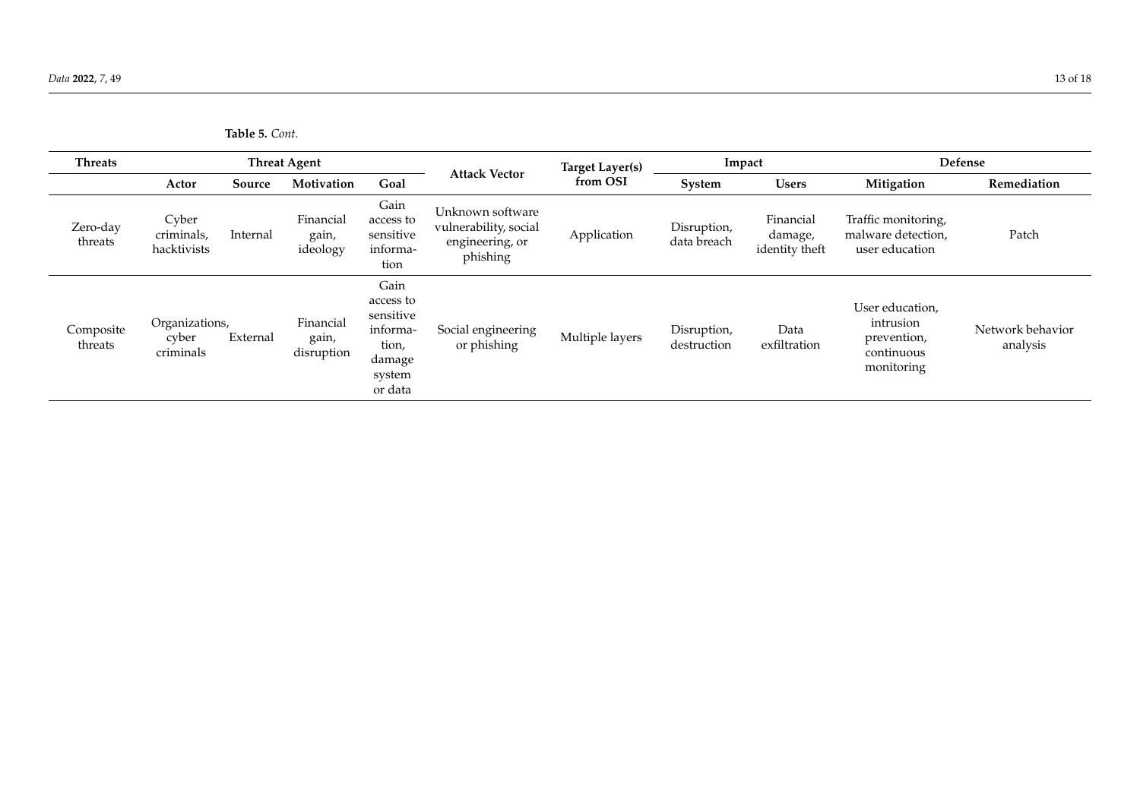<span id="page-12-0"></span>

| <b>Threats</b>       |                                      |          | <b>Threat Agent</b>              |                                                                                    |                                                                          | <b>Target Layer(s)</b> | Impact                     |                                        | Defense                                                                 |                              |
|----------------------|--------------------------------------|----------|----------------------------------|------------------------------------------------------------------------------------|--------------------------------------------------------------------------|------------------------|----------------------------|----------------------------------------|-------------------------------------------------------------------------|------------------------------|
|                      | Actor                                | Source   | Motivation                       | Goal                                                                               | <b>Attack Vector</b>                                                     | from OSI               | System                     | <b>Users</b>                           | Mitigation                                                              | Remediation                  |
| Zero-day<br>threats  | Cyber<br>criminals,<br>hacktivists   | Internal | Financial<br>gain,<br>ideology   | Gain<br>access to<br>sensitive<br>informa-<br>tion                                 | Unknown software<br>vulnerability, social<br>engineering, or<br>phishing | Application            | Disruption,<br>data breach | Financial<br>damage,<br>identity theft | Traffic monitoring,<br>malware detection,<br>user education             | Patch                        |
| Composite<br>threats | Organizations,<br>cyber<br>criminals | External | Financial<br>gain,<br>disruption | Gain<br>access to<br>sensitive<br>informa-<br>tion,<br>damage<br>system<br>or data | Social engineering<br>or phishing                                        | Multiple layers        | Disruption,<br>destruction | Data<br>exfiltration                   | User education,<br>intrusion<br>prevention,<br>continuous<br>monitoring | Network behavior<br>analysis |

| Table 5. Cont. |
|----------------|
|                |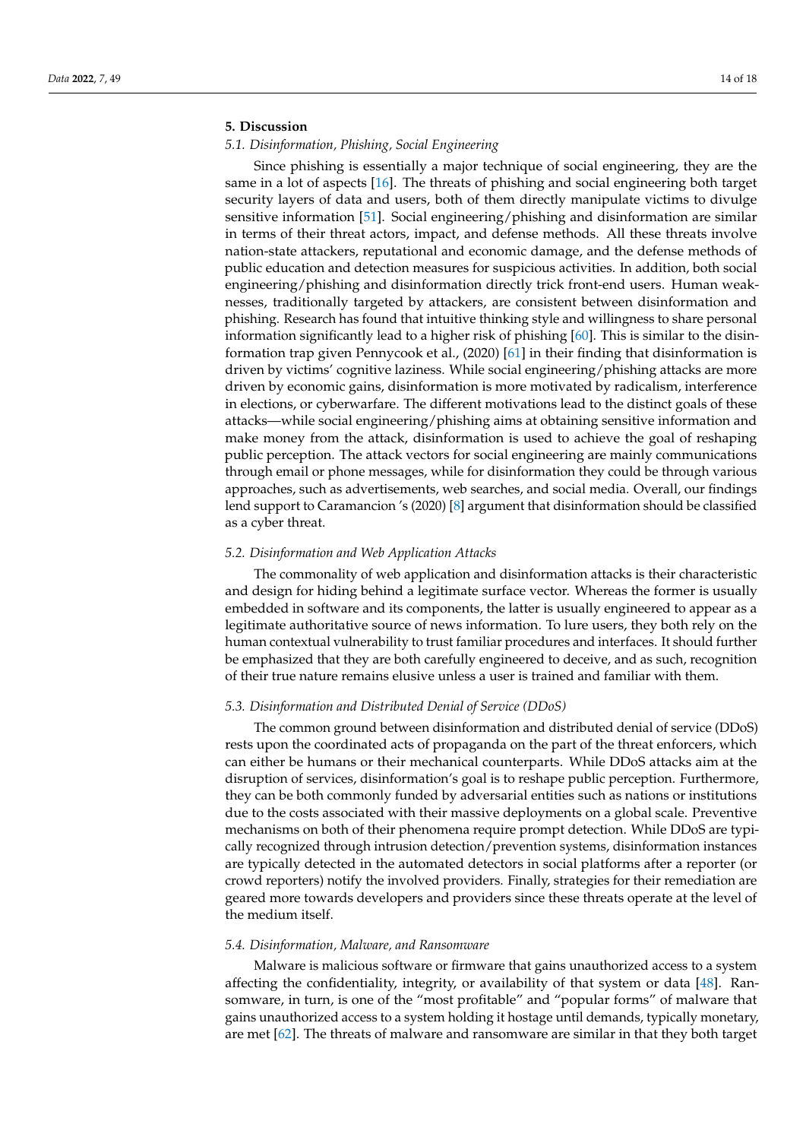## **5. Discussion**

# *5.1. Disinformation, Phishing, Social Engineering*

Since phishing is essentially a major technique of social engineering, they are the same in a lot of aspects [\[16\]](#page-16-7). The threats of phishing and social engineering both target security layers of data and users, both of them directly manipulate victims to divulge sensitive information [\[51\]](#page-17-11). Social engineering/phishing and disinformation are similar in terms of their threat actors, impact, and defense methods. All these threats involve nation-state attackers, reputational and economic damage, and the defense methods of public education and detection measures for suspicious activities. In addition, both social engineering/phishing and disinformation directly trick front-end users. Human weaknesses, traditionally targeted by attackers, are consistent between disinformation and phishing. Research has found that intuitive thinking style and willingness to share personal information significantly lead to a higher risk of phishing [\[60\]](#page-17-20). This is similar to the disinformation trap given Pennycook et al., (2020) [\[61\]](#page-17-21) in their finding that disinformation is driven by victims' cognitive laziness. While social engineering/phishing attacks are more driven by economic gains, disinformation is more motivated by radicalism, interference in elections, or cyberwarfare. The different motivations lead to the distinct goals of these attacks—while social engineering/phishing aims at obtaining sensitive information and make money from the attack, disinformation is used to achieve the goal of reshaping public perception. The attack vectors for social engineering are mainly communications through email or phone messages, while for disinformation they could be through various approaches, such as advertisements, web searches, and social media. Overall, our findings lend support to Caramancion 's (2020) [\[8\]](#page-15-7) argument that disinformation should be classified as a cyber threat.

#### *5.2. Disinformation and Web Application Attacks*

The commonality of web application and disinformation attacks is their characteristic and design for hiding behind a legitimate surface vector. Whereas the former is usually embedded in software and its components, the latter is usually engineered to appear as a legitimate authoritative source of news information. To lure users, they both rely on the human contextual vulnerability to trust familiar procedures and interfaces. It should further be emphasized that they are both carefully engineered to deceive, and as such, recognition of their true nature remains elusive unless a user is trained and familiar with them.

## *5.3. Disinformation and Distributed Denial of Service (DDoS)*

The common ground between disinformation and distributed denial of service (DDoS) rests upon the coordinated acts of propaganda on the part of the threat enforcers, which can either be humans or their mechanical counterparts. While DDoS attacks aim at the disruption of services, disinformation's goal is to reshape public perception. Furthermore, they can be both commonly funded by adversarial entities such as nations or institutions due to the costs associated with their massive deployments on a global scale. Preventive mechanisms on both of their phenomena require prompt detection. While DDoS are typically recognized through intrusion detection/prevention systems, disinformation instances are typically detected in the automated detectors in social platforms after a reporter (or crowd reporters) notify the involved providers. Finally, strategies for their remediation are geared more towards developers and providers since these threats operate at the level of the medium itself.

#### *5.4. Disinformation, Malware, and Ransomware*

Malware is malicious software or firmware that gains unauthorized access to a system affecting the confidentiality, integrity, or availability of that system or data [\[48\]](#page-17-8). Ransomware, in turn, is one of the "most profitable" and "popular forms" of malware that gains unauthorized access to a system holding it hostage until demands, typically monetary, are met [\[62\]](#page-17-22). The threats of malware and ransomware are similar in that they both target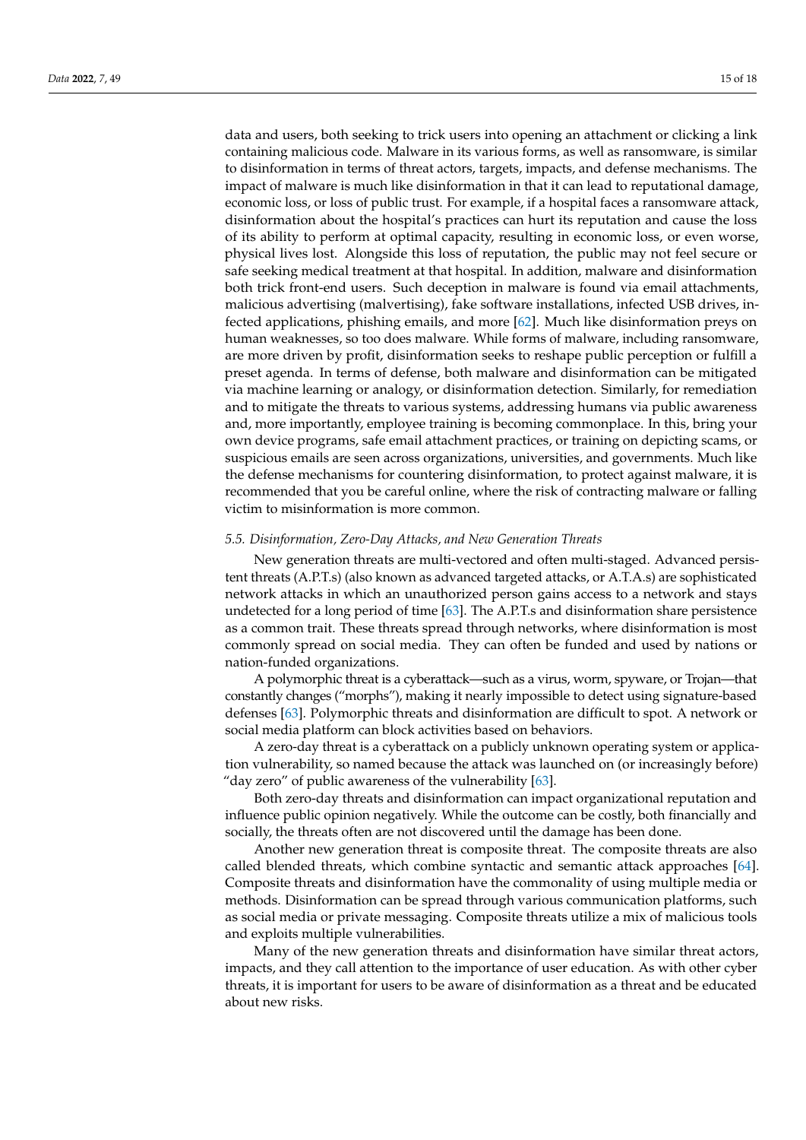data and users, both seeking to trick users into opening an attachment or clicking a link containing malicious code. Malware in its various forms, as well as ransomware, is similar to disinformation in terms of threat actors, targets, impacts, and defense mechanisms. The impact of malware is much like disinformation in that it can lead to reputational damage, economic loss, or loss of public trust. For example, if a hospital faces a ransomware attack, disinformation about the hospital's practices can hurt its reputation and cause the loss of its ability to perform at optimal capacity, resulting in economic loss, or even worse, physical lives lost. Alongside this loss of reputation, the public may not feel secure or safe seeking medical treatment at that hospital. In addition, malware and disinformation both trick front-end users. Such deception in malware is found via email attachments, malicious advertising (malvertising), fake software installations, infected USB drives, infected applications, phishing emails, and more [\[62\]](#page-17-22). Much like disinformation preys on human weaknesses, so too does malware. While forms of malware, including ransomware, are more driven by profit, disinformation seeks to reshape public perception or fulfill a preset agenda. In terms of defense, both malware and disinformation can be mitigated via machine learning or analogy, or disinformation detection. Similarly, for remediation and to mitigate the threats to various systems, addressing humans via public awareness and, more importantly, employee training is becoming commonplace. In this, bring your own device programs, safe email attachment practices, or training on depicting scams, or suspicious emails are seen across organizations, universities, and governments. Much like the defense mechanisms for countering disinformation, to protect against malware, it is recommended that you be careful online, where the risk of contracting malware or falling victim to misinformation is more common.

#### *5.5. Disinformation, Zero-Day Attacks, and New Generation Threats*

New generation threats are multi-vectored and often multi-staged. Advanced persistent threats (A.P.T.s) (also known as advanced targeted attacks, or A.T.A.s) are sophisticated network attacks in which an unauthorized person gains access to a network and stays undetected for a long period of time [\[63\]](#page-17-23). The A.P.T.s and disinformation share persistence as a common trait. These threats spread through networks, where disinformation is most commonly spread on social media. They can often be funded and used by nations or nation-funded organizations.

A polymorphic threat is a cyberattack—such as a virus, worm, spyware, or Trojan—that constantly changes ("morphs"), making it nearly impossible to detect using signature-based defenses [\[63\]](#page-17-23). Polymorphic threats and disinformation are difficult to spot. A network or social media platform can block activities based on behaviors.

A zero-day threat is a cyberattack on a publicly unknown operating system or application vulnerability, so named because the attack was launched on (or increasingly before) "day zero" of public awareness of the vulnerability [\[63\]](#page-17-23).

Both zero-day threats and disinformation can impact organizational reputation and influence public opinion negatively. While the outcome can be costly, both financially and socially, the threats often are not discovered until the damage has been done.

Another new generation threat is composite threat. The composite threats are also called blended threats, which combine syntactic and semantic attack approaches [\[64\]](#page-17-24). Composite threats and disinformation have the commonality of using multiple media or methods. Disinformation can be spread through various communication platforms, such as social media or private messaging. Composite threats utilize a mix of malicious tools and exploits multiple vulnerabilities.

Many of the new generation threats and disinformation have similar threat actors, impacts, and they call attention to the importance of user education. As with other cyber threats, it is important for users to be aware of disinformation as a threat and be educated about new risks.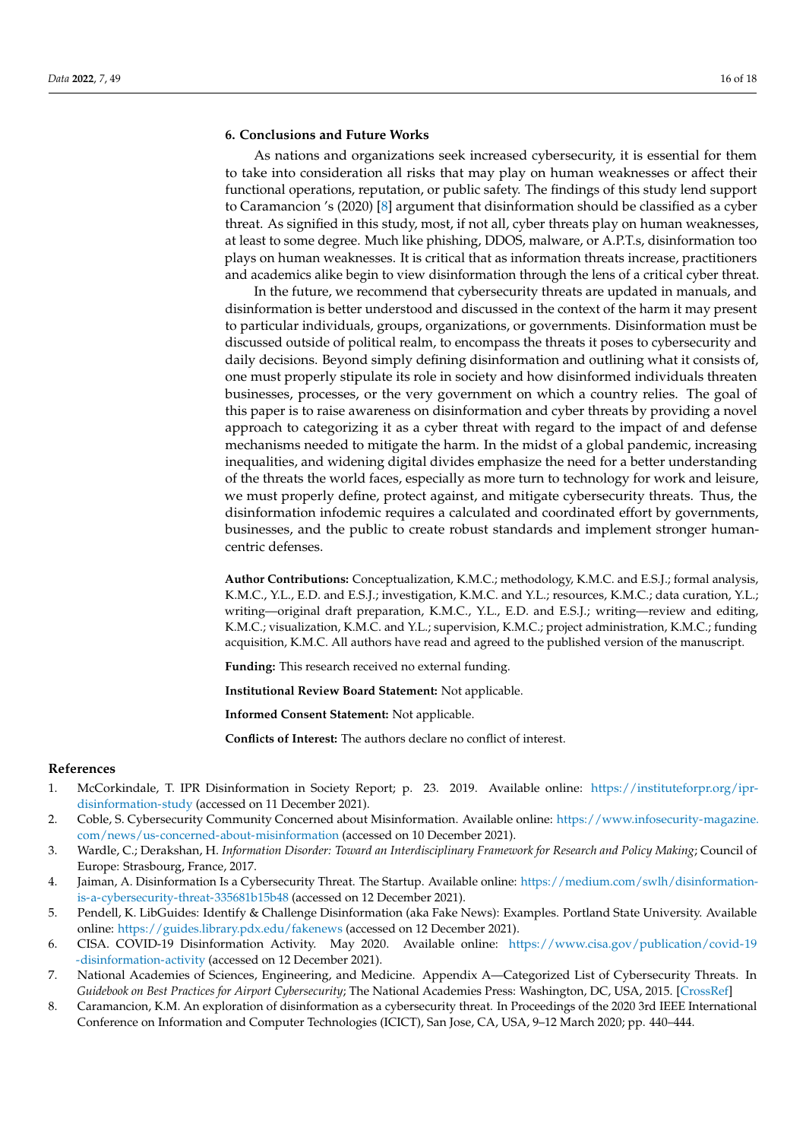# **6. Conclusions and Future Works**

As nations and organizations seek increased cybersecurity, it is essential for them to take into consideration all risks that may play on human weaknesses or affect their functional operations, reputation, or public safety. The findings of this study lend support to Caramancion 's (2020) [\[8\]](#page-15-7) argument that disinformation should be classified as a cyber threat. As signified in this study, most, if not all, cyber threats play on human weaknesses, at least to some degree. Much like phishing, DDOS, malware, or A.P.T.s, disinformation too plays on human weaknesses. It is critical that as information threats increase, practitioners and academics alike begin to view disinformation through the lens of a critical cyber threat.

In the future, we recommend that cybersecurity threats are updated in manuals, and disinformation is better understood and discussed in the context of the harm it may present to particular individuals, groups, organizations, or governments. Disinformation must be discussed outside of political realm, to encompass the threats it poses to cybersecurity and daily decisions. Beyond simply defining disinformation and outlining what it consists of, one must properly stipulate its role in society and how disinformed individuals threaten businesses, processes, or the very government on which a country relies. The goal of this paper is to raise awareness on disinformation and cyber threats by providing a novel approach to categorizing it as a cyber threat with regard to the impact of and defense mechanisms needed to mitigate the harm. In the midst of a global pandemic, increasing inequalities, and widening digital divides emphasize the need for a better understanding of the threats the world faces, especially as more turn to technology for work and leisure, we must properly define, protect against, and mitigate cybersecurity threats. Thus, the disinformation infodemic requires a calculated and coordinated effort by governments, businesses, and the public to create robust standards and implement stronger humancentric defenses.

**Author Contributions:** Conceptualization, K.M.C.; methodology, K.M.C. and E.S.J.; formal analysis, K.M.C., Y.L., E.D. and E.S.J.; investigation, K.M.C. and Y.L.; resources, K.M.C.; data curation, Y.L.; writing—original draft preparation, K.M.C., Y.L., E.D. and E.S.J.; writing—review and editing, K.M.C.; visualization, K.M.C. and Y.L.; supervision, K.M.C.; project administration, K.M.C.; funding acquisition, K.M.C. All authors have read and agreed to the published version of the manuscript.

**Funding:** This research received no external funding.

**Institutional Review Board Statement:** Not applicable.

**Informed Consent Statement:** Not applicable.

**Conflicts of Interest:** The authors declare no conflict of interest.

## **References**

- <span id="page-15-0"></span>1. McCorkindale, T. IPR Disinformation in Society Report; p. 23. 2019. Available online: [https://instituteforpr.org/ipr](https://instituteforpr.org/ipr-disinformation-study)[disinformation-study](https://instituteforpr.org/ipr-disinformation-study) (accessed on 11 December 2021).
- <span id="page-15-1"></span>2. Coble, S. Cybersecurity Community Concerned about Misinformation. Available online: [https://www.infosecurity-magazine.](https://www.infosecurity-magazine.com/news/us-concerned-about-misinformation) [com/news/us-concerned-about-misinformation](https://www.infosecurity-magazine.com/news/us-concerned-about-misinformation) (accessed on 10 December 2021).
- <span id="page-15-2"></span>3. Wardle, C.; Derakshan, H. *Information Disorder: Toward an Interdisciplinary Framework for Research and Policy Making*; Council of Europe: Strasbourg, France, 2017.
- <span id="page-15-3"></span>4. Jaiman, A. Disinformation Is a Cybersecurity Threat. The Startup. Available online: [https://medium.com/swlh/disinformation](https://medium.com/swlh/disinformation-is-a-cybersecurity-threat-335681b15b48)[is-a-cybersecurity-threat-335681b15b48](https://medium.com/swlh/disinformation-is-a-cybersecurity-threat-335681b15b48) (accessed on 12 December 2021).
- <span id="page-15-4"></span>5. Pendell, K. LibGuides: Identify & Challenge Disinformation (aka Fake News): Examples. Portland State University. Available online: <https://guides.library.pdx.edu/fakenews> (accessed on 12 December 2021).
- <span id="page-15-5"></span>6. CISA. COVID-19 Disinformation Activity. May 2020. Available online: [https://www.cisa.gov/publication/covid-19](https://www.cisa.gov/publication/covid-19-disinformation-activity) [-disinformation-activity](https://www.cisa.gov/publication/covid-19-disinformation-activity) (accessed on 12 December 2021).
- <span id="page-15-6"></span>7. National Academies of Sciences, Engineering, and Medicine. Appendix A—Categorized List of Cybersecurity Threats. In *Guidebook on Best Practices for Airport Cybersecurity*; The National Academies Press: Washington, DC, USA, 2015. [\[CrossRef\]](http://doi.org/10.17226/22116)
- <span id="page-15-7"></span>8. Caramancion, K.M. An exploration of disinformation as a cybersecurity threat. In Proceedings of the 2020 3rd IEEE International Conference on Information and Computer Technologies (ICICT), San Jose, CA, USA, 9–12 March 2020; pp. 440–444.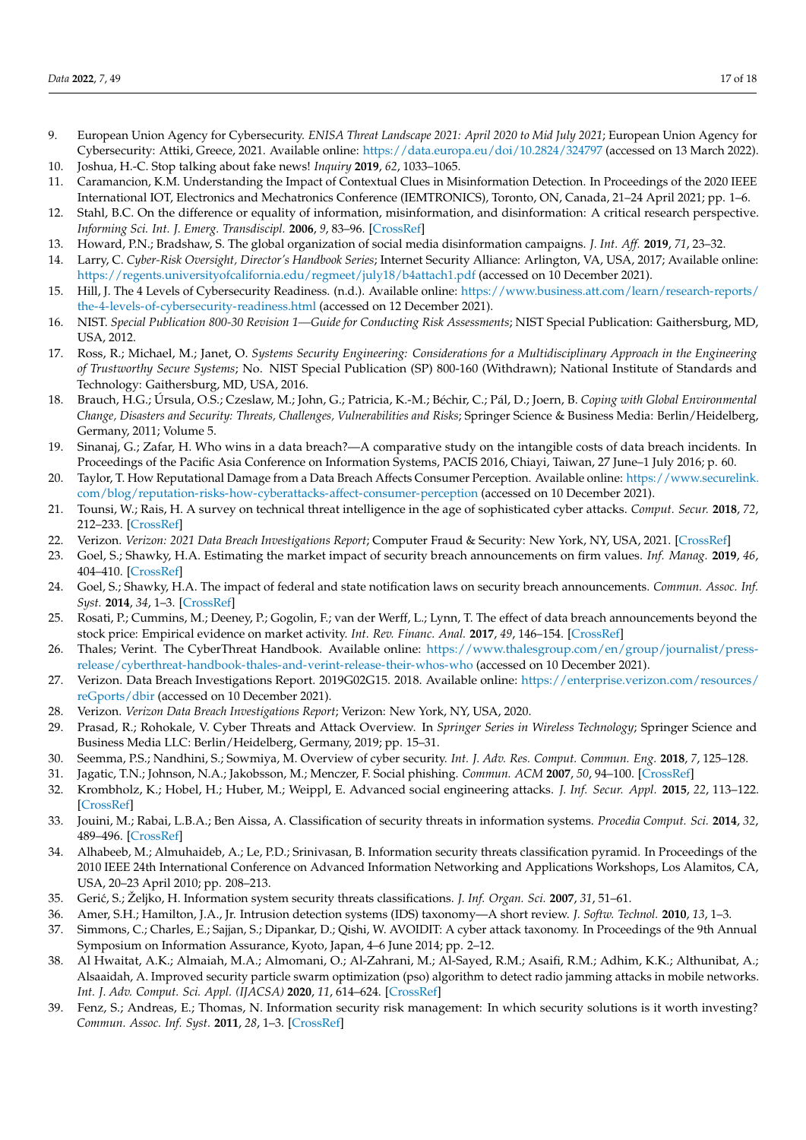- <span id="page-16-0"></span>9. European Union Agency for Cybersecurity. *ENISA Threat Landscape 2021: April 2020 to Mid July 2021*; European Union Agency for Cybersecurity: Attiki, Greece, 2021. Available online: <https://data.europa.eu/doi/10.2824/324797> (accessed on 13 March 2022).
- <span id="page-16-1"></span>10. Joshua, H.-C. Stop talking about fake news! *Inquiry* **2019**, *62*, 1033–1065.
- <span id="page-16-2"></span>11. Caramancion, K.M. Understanding the Impact of Contextual Clues in Misinformation Detection. In Proceedings of the 2020 IEEE International IOT, Electronics and Mechatronics Conference (IEMTRONICS), Toronto, ON, Canada, 21–24 April 2021; pp. 1–6.
- <span id="page-16-3"></span>12. Stahl, B.C. On the difference or equality of information, misinformation, and disinformation: A critical research perspective. *Informing Sci. Int. J. Emerg. Transdiscipl.* **2006**, *9*, 83–96. [\[CrossRef\]](http://doi.org/10.28945/473)
- <span id="page-16-4"></span>13. Howard, P.N.; Bradshaw, S. The global organization of social media disinformation campaigns. *J. Int. Aff.* **2019**, *71*, 23–32.
- <span id="page-16-5"></span>14. Larry, C. *Cyber-Risk Oversight, Director's Handbook Series*; Internet Security Alliance: Arlington, VA, USA, 2017; Available online: <https://regents.universityofcalifornia.edu/regmeet/july18/b4attach1.pdf> (accessed on 10 December 2021).
- <span id="page-16-6"></span>15. Hill, J. The 4 Levels of Cybersecurity Readiness. (n.d.). Available online: [https://www.business.att.com/learn/research-reports/](https://www.business.att.com/learn/research-reports/the-4-levels-of-cybersecurity-readiness.html) [the-4-levels-of-cybersecurity-readiness.html](https://www.business.att.com/learn/research-reports/the-4-levels-of-cybersecurity-readiness.html) (accessed on 12 December 2021).
- <span id="page-16-7"></span>16. NIST. *Special Publication 800-30 Revision 1—Guide for Conducting Risk Assessments*; NIST Special Publication: Gaithersburg, MD, USA, 2012.
- <span id="page-16-8"></span>17. Ross, R.; Michael, M.; Janet, O. *Systems Security Engineering: Considerations for a Multidisciplinary Approach in the Engineering of Trustworthy Secure Systems*; No. NIST Special Publication (SP) 800-160 (Withdrawn); National Institute of Standards and Technology: Gaithersburg, MD, USA, 2016.
- <span id="page-16-9"></span>18. Brauch, H.G.; Úrsula, O.S.; Czeslaw, M.; John, G.; Patricia, K.-M.; Béchir, C.; Pál, D.; Joern, B. *Coping with Global Environmental Change, Disasters and Security: Threats, Challenges, Vulnerabilities and Risks*; Springer Science & Business Media: Berlin/Heidelberg, Germany, 2011; Volume 5.
- <span id="page-16-10"></span>19. Sinanaj, G.; Zafar, H. Who wins in a data breach?—A comparative study on the intangible costs of data breach incidents. In Proceedings of the Pacific Asia Conference on Information Systems, PACIS 2016, Chiayi, Taiwan, 27 June–1 July 2016; p. 60.
- <span id="page-16-11"></span>20. Taylor, T. How Reputational Damage from a Data Breach Affects Consumer Perception. Available online: [https://www.securelink.](https://www.securelink.com/blog/reputation-risks-how-cyberattacks-affect-consumer-perception) [com/blog/reputation-risks-how-cyberattacks-affect-consumer-perception](https://www.securelink.com/blog/reputation-risks-how-cyberattacks-affect-consumer-perception) (accessed on 10 December 2021).
- <span id="page-16-12"></span>21. Tounsi, W.; Rais, H. A survey on technical threat intelligence in the age of sophisticated cyber attacks. *Comput. Secur.* **2018**, *72*, 212–233. [\[CrossRef\]](http://doi.org/10.1016/j.cose.2017.09.001)
- <span id="page-16-13"></span>22. Verizon. *Verizon: 2021 Data Breach Investigations Report*; Computer Fraud & Security: New York, NY, USA, 2021. [\[CrossRef\]](http://doi.org/10.1016/s1361-3723(21)00061-0)
- <span id="page-16-14"></span>23. Goel, S.; Shawky, H.A. Estimating the market impact of security breach announcements on firm values. *Inf. Manag.* **2019**, *46*, 404–410. [\[CrossRef\]](http://doi.org/10.1016/j.im.2009.06.005)
- 24. Goel, S.; Shawky, H.A. The impact of federal and state notification laws on security breach announcements. *Commun. Assoc. Inf. Syst.* **2014**, *34*, 1–3. [\[CrossRef\]](http://doi.org/10.17705/1CAIS.03403)
- <span id="page-16-15"></span>25. Rosati, P.; Cummins, M.; Deeney, P.; Gogolin, F.; van der Werff, L.; Lynn, T. The effect of data breach announcements beyond the stock price: Empirical evidence on market activity. *Int. Rev. Financ. Anal.* **2017**, *49*, 146–154. [\[CrossRef\]](http://doi.org/10.1016/j.irfa.2017.01.001)
- <span id="page-16-16"></span>26. Thales; Verint. The CyberThreat Handbook. Available online: [https://www.thalesgroup.com/en/group/journalist/press](https://www.thalesgroup.com/en/group/journalist/press-release/cyberthreat-handbook-thales-and-verint-release-their-whos-who)[release/cyberthreat-handbook-thales-and-verint-release-their-whos-who](https://www.thalesgroup.com/en/group/journalist/press-release/cyberthreat-handbook-thales-and-verint-release-their-whos-who) (accessed on 10 December 2021).
- <span id="page-16-17"></span>27. Verizon. Data Breach Investigations Report. 2019G02G15. 2018. Available online: [https://enterprise.verizon.com/resources/](https://enterprise.verizon.com/resources/reGports/dbir) [reGports/dbir](https://enterprise.verizon.com/resources/reGports/dbir) (accessed on 10 December 2021).
- <span id="page-16-18"></span>28. Verizon. *Verizon Data Breach Investigations Report*; Verizon: New York, NY, USA, 2020.
- <span id="page-16-19"></span>29. Prasad, R.; Rohokale, V. Cyber Threats and Attack Overview. In *Springer Series in Wireless Technology*; Springer Science and Business Media LLC: Berlin/Heidelberg, Germany, 2019; pp. 15–31.
- <span id="page-16-20"></span>30. Seemma, P.S.; Nandhini, S.; Sowmiya, M. Overview of cyber security. *Int. J. Adv. Res. Comput. Commun. Eng.* **2018**, *7*, 125–128.
- <span id="page-16-21"></span>31. Jagatic, T.N.; Johnson, N.A.; Jakobsson, M.; Menczer, F. Social phishing. *Commun. ACM* **2007**, *50*, 94–100. [\[CrossRef\]](http://doi.org/10.1145/1290958.1290968)
- <span id="page-16-22"></span>32. Krombholz, K.; Hobel, H.; Huber, M.; Weippl, E. Advanced social engineering attacks. *J. Inf. Secur. Appl.* **2015**, *22*, 113–122. [\[CrossRef\]](http://doi.org/10.1016/j.jisa.2014.09.005)
- <span id="page-16-23"></span>33. Jouini, M.; Rabai, L.B.A.; Ben Aissa, A. Classification of security threats in information systems. *Procedia Comput. Sci.* **2014**, *32*, 489–496. [\[CrossRef\]](http://doi.org/10.1016/j.procs.2014.05.452)
- <span id="page-16-24"></span>34. Alhabeeb, M.; Almuhaideb, A.; Le, P.D.; Srinivasan, B. Information security threats classification pyramid. In Proceedings of the 2010 IEEE 24th International Conference on Advanced Information Networking and Applications Workshops, Los Alamitos, CA, USA, 20–23 April 2010; pp. 208–213.
- <span id="page-16-25"></span>35. Geri´c, S.; Željko, H. Information system security threats classifications. *J. Inf. Organ. Sci.* **2007**, *31*, 51–61.
- <span id="page-16-26"></span>36. Amer, S.H.; Hamilton, J.A., Jr. Intrusion detection systems (IDS) taxonomy—A short review. *J. Softw. Technol.* **2010**, *13*, 1–3.
- <span id="page-16-27"></span>37. Simmons, C.; Charles, E.; Sajjan, S.; Dipankar, D.; Qishi, W. AVOIDIT: A cyber attack taxonomy. In Proceedings of the 9th Annual Symposium on Information Assurance, Kyoto, Japan, 4–6 June 2014; pp. 2–12.
- <span id="page-16-28"></span>38. Al Hwaitat, A.K.; Almaiah, M.A.; Almomani, O.; Al-Zahrani, M.; Al-Sayed, R.M.; Asaifi, R.M.; Adhim, K.K.; Althunibat, A.; Alsaaidah, A. Improved security particle swarm optimization (pso) algorithm to detect radio jamming attacks in mobile networks. *Int. J. Adv. Comput. Sci. Appl. (IJACSA)* **2020**, *11*, 614–624. [\[CrossRef\]](http://doi.org/10.14569/IJACSA.2020.0110480)
- <span id="page-16-29"></span>39. Fenz, S.; Andreas, E.; Thomas, N. Information security risk management: In which security solutions is it worth investing? *Commun. Assoc. Inf. Syst.* **2011**, *28*, 1–3. [\[CrossRef\]](http://doi.org/10.17705/1CAIS.02822)